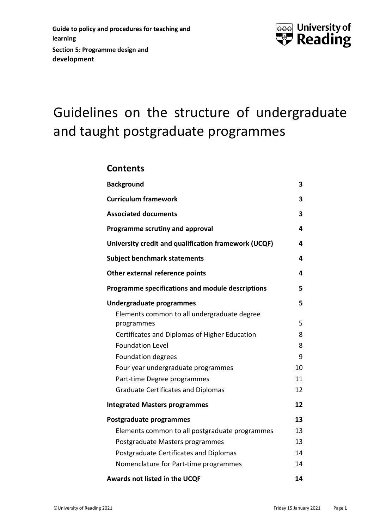

# Guidelines on the structure of undergraduate and taught postgraduate programmes

### **Contents**

| <b>Background</b>                                         | 3  |
|-----------------------------------------------------------|----|
| <b>Curriculum framework</b>                               | 3  |
| <b>Associated documents</b>                               | 3  |
| Programme scrutiny and approval                           | 4  |
| University credit and qualification framework (UCQF)      | 4  |
| <b>Subject benchmark statements</b>                       | 4  |
| Other external reference points                           | 4  |
| Programme specifications and module descriptions          | 5  |
| Undergraduate programmes                                  | 5  |
| Elements common to all undergraduate degree<br>programmes | 5  |
| Certificates and Diplomas of Higher Education             | 8  |
| <b>Foundation Level</b>                                   | 8  |
| <b>Foundation degrees</b>                                 | 9  |
| Four year undergraduate programmes                        | 10 |
| Part-time Degree programmes                               | 11 |
| <b>Graduate Certificates and Diplomas</b>                 | 12 |
| <b>Integrated Masters programmes</b>                      | 12 |
| Postgraduate programmes                                   | 13 |
| Elements common to all postgraduate programmes            | 13 |
| Postgraduate Masters programmes                           | 13 |
| Postgraduate Certificates and Diplomas                    | 14 |
| Nomenclature for Part-time programmes                     | 14 |
| Awards not listed in the UCQF                             | 14 |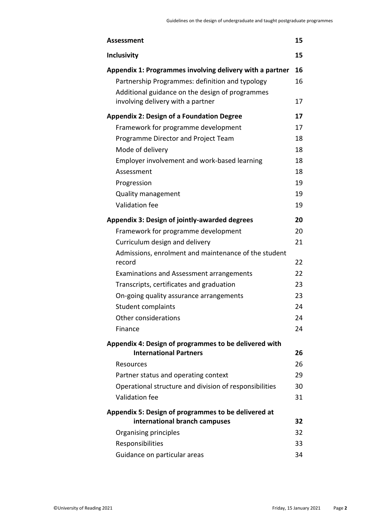| <b>Assessment</b>                                                                                                                                                                                   | 15             |
|-----------------------------------------------------------------------------------------------------------------------------------------------------------------------------------------------------|----------------|
| <b>Inclusivity</b>                                                                                                                                                                                  | 15             |
| Appendix 1: Programmes involving delivery with a partner<br>Partnership Programmes: definition and typology<br>Additional guidance on the design of programmes<br>involving delivery with a partner | 16<br>16<br>17 |
| <b>Appendix 2: Design of a Foundation Degree</b>                                                                                                                                                    | 17             |
| Framework for programme development                                                                                                                                                                 | 17             |
| Programme Director and Project Team                                                                                                                                                                 | 18             |
| Mode of delivery                                                                                                                                                                                    | 18             |
| Employer involvement and work-based learning                                                                                                                                                        | 18             |
| Assessment                                                                                                                                                                                          | 18             |
| Progression                                                                                                                                                                                         | 19             |
| Quality management                                                                                                                                                                                  | 19             |
| Validation fee                                                                                                                                                                                      | 19             |
| <b>Appendix 3: Design of jointly-awarded degrees</b>                                                                                                                                                | 20             |
| Framework for programme development                                                                                                                                                                 | 20             |
| Curriculum design and delivery                                                                                                                                                                      | 21             |
| Admissions, enrolment and maintenance of the student<br>record                                                                                                                                      | 22             |
| <b>Examinations and Assessment arrangements</b>                                                                                                                                                     | 22             |
| Transcripts, certificates and graduation                                                                                                                                                            | 23             |
| On-going quality assurance arrangements                                                                                                                                                             | 23             |
| Student complaints                                                                                                                                                                                  | 24             |
| Other considerations                                                                                                                                                                                | 24             |
| Finance                                                                                                                                                                                             | 24             |
| Appendix 4: Design of programmes to be delivered with                                                                                                                                               |                |
| <b>International Partners</b>                                                                                                                                                                       | 26             |
| Resources                                                                                                                                                                                           | 26             |
| Partner status and operating context                                                                                                                                                                | 29             |
| Operational structure and division of responsibilities                                                                                                                                              | 30             |
| Validation fee                                                                                                                                                                                      | 31             |
| Appendix 5: Design of programmes to be delivered at<br>international branch campuses                                                                                                                | 32             |
| Organising principles                                                                                                                                                                               | 32             |
| Responsibilities                                                                                                                                                                                    | 33             |
| Guidance on particular areas                                                                                                                                                                        | 34             |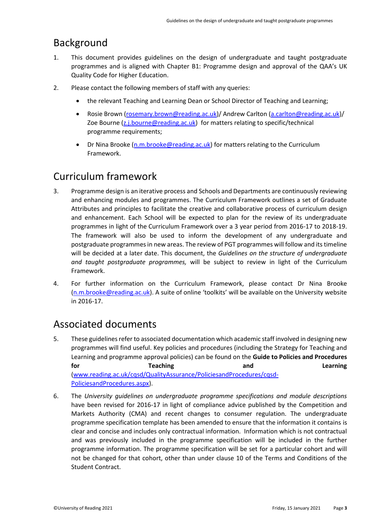# <span id="page-2-0"></span>Background

- 1. This document provides guidelines on the design of undergraduate and taught postgraduate programmes and is aligned with Chapter B1: Programme design and approval of the QAA's UK Quality Code for Higher Education.
- 2. Please contact the following members of staff with any queries:
	- the relevant Teaching and Learning Dean or School Director of Teaching and Learning;
	- Rosie Brown [\(rosemary.brown@reading.ac.uk\)](mailto:rosemary.brown@reading.ac.uk)/ Andrew Carlton [\(a.carlton@reading.ac.uk\)](mailto:a.carlton@reading.ac.uk/)/ Zoe Bourne [\(z.j.bourne@reading.ac.uk\)](mailto:z.j.bourne@reading.ac.uk) for matters relating to specific/technical programme requirements;
	- Dr Nina Brooke [\(n.m.brooke@reading.ac.uk\)](mailto:n.m.brooke@reading.ac.uk) for matters relating to the Curriculum Framework.

# <span id="page-2-1"></span>Curriculum framework

- 3. Programme design is an iterative process and Schools and Departments are continuously reviewing and enhancing modules and programmes. The Curriculum Framework outlines a set of Graduate Attributes and principles to facilitate the creative and collaborative process of curriculum design and enhancement. Each School will be expected to plan for the review of its undergraduate programmes in light of the Curriculum Framework over a 3 year period from 2016-17 to 2018-19. The framework will also be used to inform the development of any undergraduate and postgraduate programmes in new areas. The review of PGT programmes will follow and its timeline will be decided at a later date. This document, the *Guidelines on the structure of undergraduate and taught postgraduate programmes,* will be subject to review in light of the Curriculum Framework.
- 4. For further information on the Curriculum Framework, please contact Dr Nina Brooke [\(n.m.brooke@reading.ac.uk\)](mailto:n.m.brooke@reading.ac.uk). A suite of online 'toolkits' will be available on the University website in 2016-17.

# <span id="page-2-2"></span>Associated documents

- 5. These guidelines refer to associated documentation which academic staff involved in designing new programmes will find useful. Key policies and procedures (including the Strategy for Teaching and Learning and programme approval policies) can be found on the **Guide to Policies and Procedures**  for the Teaching **Contact Contact Contact Contact Contact Contact Contact Contact Contact Contact Contact Contact Contact Contact Contact Contact Contact Contact Contact Contact Contact Contact Contact Contact Contact Cont** [\(www.reading.ac.uk/cqsd/QualityAssurance/PoliciesandProcedures/cqsd-](http://www.reading.ac.uk/cqsd/QualityAssurance/PoliciesandProcedures/cqsd-PoliciesandProcedures.aspx)[PoliciesandProcedures.aspx\)](http://www.reading.ac.uk/cqsd/QualityAssurance/PoliciesandProcedures/cqsd-PoliciesandProcedures.aspx).
- 6. The *University guidelines on undergraduate programme specifications and module descriptions* have been revised for 2016-17 in light of compliance advice published by the Competition and Markets Authority (CMA) and recent changes to consumer regulation. The undergraduate programme specification template has been amended to ensure that the information it contains is clear and concise and includes only contractual information. Information which is not contractual and was previously included in the programme specification will be included in the further programme information. The programme specification will be set for a particular cohort and will not be changed for that cohort, other than under clause 10 of the Terms and Conditions of the Student Contract.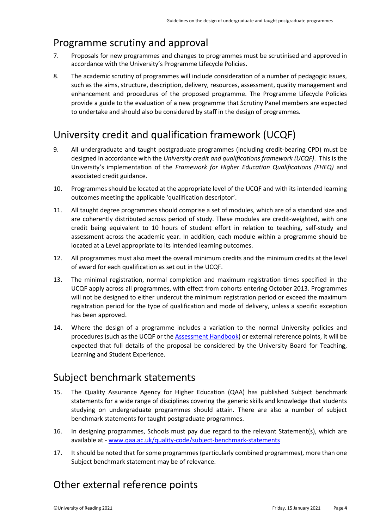### <span id="page-3-0"></span>Programme scrutiny and approval

- 7. Proposals for new programmes and changes to programmes must be scrutinised and approved in accordance with the University's Programme Lifecycle Policies.
- 8. The academic scrutiny of programmes will include consideration of a number of pedagogic issues, such as the aims, structure, description, delivery, resources, assessment, quality management and enhancement and procedures of the proposed programme. The Programme Lifecycle Policies provide a guide to the evaluation of a new programme that Scrutiny Panel members are expected to undertake and should also be considered by staff in the design of programmes.

# <span id="page-3-1"></span>University credit and qualification framework (UCQF)

- 9. All undergraduate and taught postgraduate programmes (including credit-bearing CPD) must be designed in accordance with the *University credit and qualifications framework (UCQF)*. This is the University's implementation of the *Framework for Higher Education Qualifications (FHEQ)* and associated credit guidance.
- 10. Programmes should be located at the appropriate level of the UCQF and with its intended learning outcomes meeting the applicable 'qualification descriptor'.
- 11. All taught degree programmes should comprise a set of modules, which are of a standard size and are coherently distributed across period of study. These modules are credit-weighted, with one credit being equivalent to 10 hours of student effort in relation to teaching, self-study and assessment across the academic year. In addition, each module within a programme should be located at a Level appropriate to its intended learning outcomes.
- 12. All programmes must also meet the overall minimum credits and the minimum credits at the level of award for each qualification as set out in the UCQF.
- 13. The minimal registration, normal completion and maximum registration times specified in the UCQF apply across all programmes, with effect from cohorts entering October 2013. Programmes will not be designed to either undercut the minimum registration period or exceed the maximum registration period for the type of qualification and mode of delivery, unless a specific exception has been approved.
- 14. Where the design of a programme includes a variation to the normal University policies and procedures (such as the UCQF or the [Assessment Handbook\)](http://www.reading.ac.uk/cqsd/QualityAssurance/PoliciesandProcedures/cqsd-assessmenthandbook.aspx) or external reference points, it will be expected that full details of the proposal be considered by the University Board for Teaching, Learning and Student Experience.

### <span id="page-3-2"></span>Subject benchmark statements

- 15. The Quality Assurance Agency for Higher Education (QAA) has published Subject benchmark statements for a wide range of disciplines covering the generic skills and knowledge that students studying on undergraduate programmes should attain. There are also a number of subject benchmark statements for taught postgraduate programmes.
- 16. In designing programmes, Schools must pay due regard to the relevant Statement(s), which are available at - [www.qaa.ac.uk/quality-code/subject-benchmark-statements](http://www.qaa.ac.uk/quality-code/subject-benchmark-statements)
- 17. It should be noted that for some programmes (particularly combined programmes), more than one Subject benchmark statement may be of relevance.

# <span id="page-3-3"></span>Other external reference points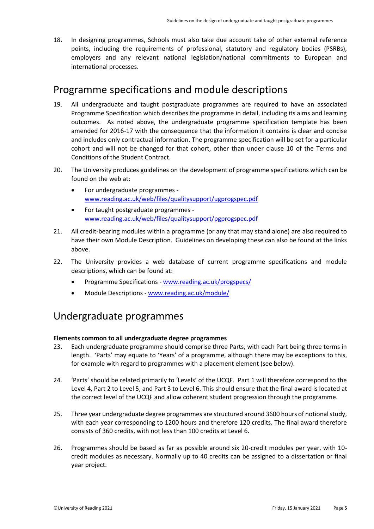18. In designing programmes, Schools must also take due account take of other external reference points, including the requirements of professional, statutory and regulatory bodies (PSRBs), employers and any relevant national legislation/national commitments to European and international processes.

### <span id="page-4-0"></span>Programme specifications and module descriptions

- 19. All undergraduate and taught postgraduate programmes are required to have an associated Programme Specification which describes the programme in detail, including its aims and learning outcomes. As noted above, the undergraduate programme specification template has been amended for 2016-17 with the consequence that the information it contains is clear and concise and includes only contractual information. The programme specification will be set for a particular cohort and will not be changed for that cohort, other than under clause 10 of the Terms and Conditions of the Student Contract.
- 20. The University produces guidelines on the development of programme specifications which can be found on the web at:
	- For undergraduate programmes [www.reading.ac.uk/web/files/qualitysupport/ugprogspec.pdf](http://www.reading.ac.uk/web/files/qualitysupport/ugprogspec.pdf)
	- For taught postgraduate programmes [www.reading.ac.uk/web/files/qualitysupport/pgprogspec.pdf](http://www.reading.ac.uk/web/files/qualitysupport/pgprogspec.pdf)
- 21. All credit-bearing modules within a programme (or any that may stand alone) are also required to have their own Module Description. Guidelines on developing these can also be found at the links above.
- 22. The University provides a web database of current programme specifications and module descriptions, which can be found at:
	- Programme Specifications [www.reading.ac.uk/progspecs/](http://www.reading.ac.uk/progspecs/)
	- Module Descriptions [www.reading.ac.uk/module/](http://www.reading.ac.uk/module/)

### <span id="page-4-1"></span>Undergraduate programmes

### <span id="page-4-2"></span>**Elements common to all undergraduate degree programmes**

- 23. Each undergraduate programme should comprise three Parts, with each Part being three terms in length. 'Parts' may equate to 'Years' of a programme, although there may be exceptions to this, for example with regard to programmes with a placement element (see below).
- 24. 'Parts' should be related primarily to 'Levels' of the UCQF. Part 1 will therefore correspond to the Level 4, Part 2 to Level 5, and Part 3 to Level 6. This should ensure that the final award is located at the correct level of the UCQF and allow coherent student progression through the programme.
- 25. Three year undergraduate degree programmes are structured around 3600 hours of notional study, with each year corresponding to 1200 hours and therefore 120 credits. The final award therefore consists of 360 credits, with not less than 100 credits at Level 6.
- 26. Programmes should be based as far as possible around six 20-credit modules per year, with 10 credit modules as necessary. Normally up to 40 credits can be assigned to a dissertation or final year project.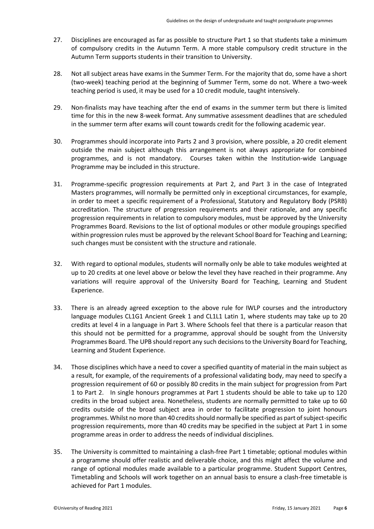- 27. Disciplines are encouraged as far as possible to structure Part 1 so that students take a minimum of compulsory credits in the Autumn Term. A more stable compulsory credit structure in the Autumn Term supports students in their transition to University.
- 28. Not all subject areas have exams in the Summer Term. For the majority that do, some have a short (two-week) teaching period at the beginning of Summer Term, some do not. Where a two-week teaching period is used, it may be used for a 10 credit module, taught intensively.
- 29. Non-finalists may have teaching after the end of exams in the summer term but there is limited time for this in the new 8-week format. Any summative assessment deadlines that are scheduled in the summer term after exams will count towards credit for the following academic year.
- 30. Programmes should incorporate into Parts 2 and 3 provision, where possible, a 20 credit element outside the main subject although this arrangement is not always appropriate for combined programmes, and is not mandatory. Courses taken within the Institution-wide Language Programme may be included in this structure.
- 31. Programme-specific progression requirements at Part 2, and Part 3 in the case of Integrated Masters programmes, will normally be permitted only in exceptional circumstances, for example, in order to meet a specific requirement of a Professional, Statutory and Regulatory Body (PSRB) accreditation. The structure of progression requirements and their rationale, and any specific progression requirements in relation to compulsory modules, must be approved by the University Programmes Board. Revisions to the list of optional modules or other module groupings specified within progression rules must be approved by the relevant School Board for Teaching and Learning; such changes must be consistent with the structure and rationale.
- 32. With regard to optional modules, students will normally only be able to take modules weighted at up to 20 credits at one level above or below the level they have reached in their programme. Any variations will require approval of the University Board for Teaching, Learning and Student Experience.
- 33. There is an already agreed exception to the above rule for IWLP courses and the introductory language modules CL1G1 Ancient Greek 1 and CL1L1 Latin 1, where students may take up to 20 credits at level 4 in a language in Part 3. Where Schools feel that there is a particular reason that this should not be permitted for a programme, approval should be sought from the University Programmes Board. The UPB should report any such decisions to the University Board for Teaching, Learning and Student Experience.
- 34. Those disciplines which have a need to cover a specified quantity of material in the main subject as a result, for example, of the requirements of a professional validating body, may need to specify a progression requirement of 60 or possibly 80 credits in the main subject for progression from Part 1 to Part 2. In single honours programmes at Part 1 students should be able to take up to 120 credits in the broad subject area. Nonetheless, students are normally permitted to take up to 60 credits outside of the broad subject area in order to facilitate progression to joint honours programmes. Whilst no more than 40 credits should normally be specified as part of subject-specific progression requirements, more than 40 credits may be specified in the subject at Part 1 in some programme areas in order to address the needs of individual disciplines.
- 35. The University is committed to maintaining a clash-free Part 1 timetable; optional modules within a programme should offer realistic and deliverable choice, and this might affect the volume and range of optional modules made available to a particular programme. Student Support Centres, Timetabling and Schools will work together on an annual basis to ensure a clash-free timetable is achieved for Part 1 modules.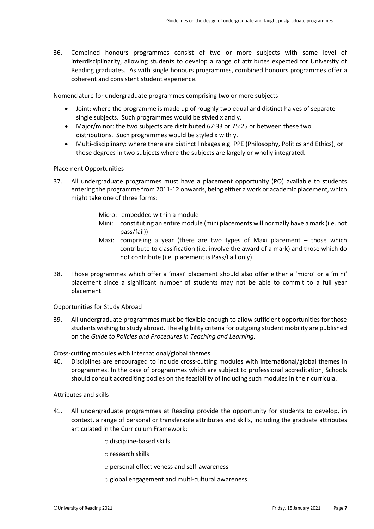36. Combined honours programmes consist of two or more subjects with some level of interdisciplinarity, allowing students to develop a range of attributes expected for University of Reading graduates. As with single honours programmes, combined honours programmes offer a coherent and consistent student experience.

Nomenclature for undergraduate programmes comprising two or more subjects

- Joint: where the programme is made up of roughly two equal and distinct halves of separate single subjects. Such programmes would be styled x and y.
- Major/minor: the two subjects are distributed 67:33 or 75:25 or between these two distributions. Such programmes would be styled x with y.
- Multi-disciplinary: where there are distinct linkages e.g. PPE (Philosophy, Politics and Ethics), or those degrees in two subjects where the subjects are largely or wholly integrated.

Placement Opportunities

- 37. All undergraduate programmes must have a placement opportunity (PO) available to students entering the programme from 2011-12 onwards, being either a work or academic placement, which might take one of three forms:
	- Micro: embedded within a module
	- Mini: constituting an entire module (mini placements will normally have a mark (i.e. not pass/fail))
	- Maxi: comprising a year (there are two types of Maxi placement those which contribute to classification (i.e. involve the award of a mark) and those which do not contribute (i.e. placement is Pass/Fail only).
- 38. Those programmes which offer a 'maxi' placement should also offer either a 'micro' or a 'mini' placement since a significant number of students may not be able to commit to a full year placement.

Opportunities for Study Abroad

39. All undergraduate programmes must be flexible enough to allow sufficient opportunities for those students wishing to study abroad. The eligibility criteria for outgoing student mobility are published on the *Guide to Policies and Procedures in Teaching and Learning.*

Cross-cutting modules with international/global themes

40. Disciplines are encouraged to include cross-cutting modules with international/global themes in programmes. In the case of programmes which are subject to professional accreditation, Schools should consult accrediting bodies on the feasibility of including such modules in their curricula.

### Attributes and skills

- 41. All undergraduate programmes at Reading provide the opportunity for students to develop, in context, a range of personal or transferable attributes and skills, including the graduate attributes articulated in the Curriculum Framework:
	- o discipline-based skills
	- o research skills
	- o personal effectiveness and self-awareness
	- o global engagement and multi-cultural awareness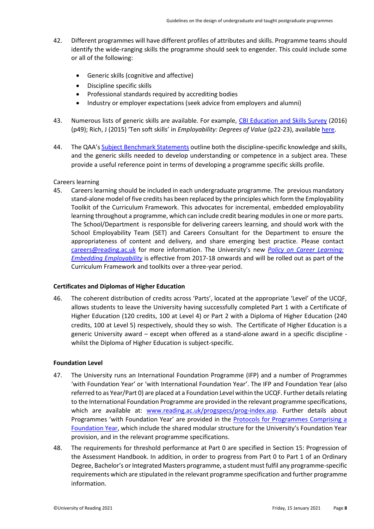- 42. Different programmes will have different profiles of attributes and skills. Programme teams should identify the wide-ranging skills the programme should seek to engender. This could include some or all of the following:
	- Generic skills (cognitive and affective)
	- Discipline specific skills
	- Professional standards required by accrediting bodies
	- Industry or employer expectations (seek advice from employers and alumni)
- 43. Numerous lists of generic skills are available. For example, [CBI Education and Skills Survey](http://www.cbi.org.uk/cbi-prod/assets/File/pdf/cbi-education-and-skills-survey2016.pdf?mc_cid=dce980549f&mc_eid=6be1e9feb5) (2016) (p49); Rich, J (2015) 'Ten soft skills' in *Employability: Degrees of Value* (p22-23), available [here.](http://www.hepi.ac.uk/2015/12/10/employability-degrees-value/)
- 44. The QAA's [Subject Benchmark Statements](http://www.qaa.ac.uk/assuring-standards-and-quality/the-quality-code/subject-benchmark-statements) outline both the discipline-specific knowledge and skills, and the generic skills needed to develop understanding or competence in a subject area. These provide a useful reference point in terms of developing a programme specific skills profile.

### Careers learning

45. Careers learning should be included in each undergraduate programme. The previous mandatory stand-alone model of five credits has been replaced by the principles which form the Employability Toolkit of the Curriculum Framework. This advocates for incremental, embedded employability learning throughout a programme, which can include credit bearing modules in one or more parts. The School/Department is responsible for delivering careers learning, and should work with the School Employability Team (SET) and Careers Consultant for the Department to ensure the appropriateness of content and delivery, and share emerging best practice. Please contact [careers@reading.ac.uk](mailto:careers@reading.ac.uk) for more information. The University's new *[Policy on Career Learning:](https://www.reading.ac.uk/web/files/qualitysupport/Career_learning_policy_2016.pdf)  [Embedding Employability](https://www.reading.ac.uk/web/files/qualitysupport/Career_learning_policy_2016.pdf)* is effective from 2017-18 onwards and will be rolled out as part of the Curriculum Framework and toolkits over a three-year period.

### <span id="page-7-0"></span>**Certificates and Diplomas of Higher Education**

46. The coherent distribution of credits across 'Parts', located at the appropriate 'Level' of the UCQF, allows students to leave the University having successfully completed Part 1 with a Certificate of Higher Education (120 credits, 100 at Level 4) or Part 2 with a Diploma of Higher Education (240 credits, 100 at Level 5) respectively, should they so wish. The Certificate of Higher Education is a generic University award – except when offered as a stand-alone award in a specific discipline whilst the Diploma of Higher Education is subject-specific.

### <span id="page-7-1"></span>**Foundation Level**

- 47. The University runs an International Foundation Programme (IFP) and a number of Programmes 'with Foundation Year' or 'with International Foundation Year'. The IFP and Foundation Year (also referred to as Year/Part 0) are placed at a Foundation Level within the UCQF. Further details relating to the International Foundation Programme are provided in the relevant programme specifications, which are available at: [www.reading.ac.uk/progspecs/prog-index.asp.](http://www.reading.ac.uk/progspecs/prog-index.asp) Further details about Programmes 'with Foundation Year' are provided in the Protocols for Programmes Comprising a [Foundation Year,](http://www.reading.ac.uk/web/files/qualitysupport/Protocols_for_Programmes_Comprising_a_Foundation_Year.pdf) which include the shared modular structure for the University's Foundation Year provision, and in the relevant programme specifications.
- 48. The requirements for threshold performance at Part 0 are specified in Section 15: Progression of the Assessment Handbook. In addition, in order to progress from Part 0 to Part 1 of an Ordinary Degree, Bachelor's or Integrated Masters programme, a student must fulfil any programme-specific requirements which are stipulated in the relevant programme specification and further programme information.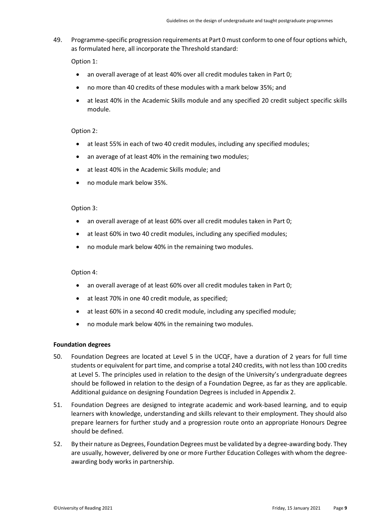49. Programme-specific progression requirements at Part 0 must conform to one of four options which, as formulated here, all incorporate the Threshold standard:

Option 1:

- an overall average of at least 40% over all credit modules taken in Part 0;
- no more than 40 credits of these modules with a mark below 35%; and
- at least 40% in the Academic Skills module and any specified 20 credit subject specific skills module.

### Option 2:

- at least 55% in each of two 40 credit modules, including any specified modules;
- an average of at least 40% in the remaining two modules;
- at least 40% in the Academic Skills module; and
- no module mark below 35%.

### Option 3:

- an overall average of at least 60% over all credit modules taken in Part 0;
- at least 60% in two 40 credit modules, including any specified modules;
- no module mark below 40% in the remaining two modules.

### Option 4:

- an overall average of at least 60% over all credit modules taken in Part 0;
- at least 70% in one 40 credit module, as specified;
- at least 60% in a second 40 credit module, including any specified module;
- no module mark below 40% in the remaining two modules.

### <span id="page-8-0"></span>**Foundation degrees**

- 50. Foundation Degrees are located at Level 5 in the UCQF, have a duration of 2 years for full time students or equivalent for part time, and comprise a total 240 credits, with not less than 100 credits at Level 5. The principles used in relation to the design of the University's undergraduate degrees should be followed in relation to the design of a Foundation Degree, as far as they are applicable. Additional guidance on designing Foundation Degrees is included in Appendix 2.
- 51. Foundation Degrees are designed to integrate academic and work-based learning, and to equip learners with knowledge, understanding and skills relevant to their employment. They should also prepare learners for further study and a progression route onto an appropriate Honours Degree should be defined.
- 52. By their nature as Degrees, Foundation Degrees must be validated by a degree-awarding body. They are usually, however, delivered by one or more Further Education Colleges with whom the degreeawarding body works in partnership.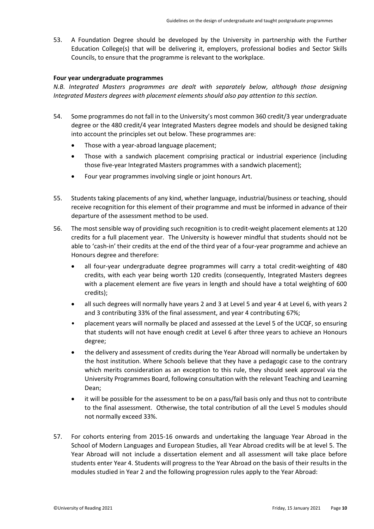53. A Foundation Degree should be developed by the University in partnership with the Further Education College(s) that will be delivering it, employers, professional bodies and Sector Skills Councils, to ensure that the programme is relevant to the workplace.

### <span id="page-9-0"></span>**Four year undergraduate programmes**

*N.B. Integrated Masters programmes are dealt with separately below, although those designing Integrated Masters degrees with placement elements should also pay attention to this section.*

- 54. Some programmes do not fall in to the University's most common 360 credit/3 year undergraduate degree or the 480 credit/4 year Integrated Masters degree models and should be designed taking into account the principles set out below. These programmes are:
	- Those with a year-abroad language placement;
	- Those with a sandwich placement comprising practical or industrial experience (including those five-year Integrated Masters programmes with a sandwich placement);
	- Four year programmes involving single or joint honours Art.
- 55. Students taking placements of any kind, whether language, industrial/business or teaching, should receive recognition for this element of their programme and must be informed in advance of their departure of the assessment method to be used.
- 56. The most sensible way of providing such recognition is to credit-weight placement elements at 120 credits for a full placement year. The University is however mindful that students should not be able to 'cash-in' their credits at the end of the third year of a four-year programme and achieve an Honours degree and therefore:
	- all four-year undergraduate degree programmes will carry a total credit-weighting of 480 credits, with each year being worth 120 credits (consequently, Integrated Masters degrees with a placement element are five years in length and should have a total weighting of 600 credits);
	- all such degrees will normally have years 2 and 3 at Level 5 and year 4 at Level 6, with years 2 and 3 contributing 33% of the final assessment, and year 4 contributing 67%;
	- placement years will normally be placed and assessed at the Level 5 of the UCQF, so ensuring that students will not have enough credit at Level 6 after three years to achieve an Honours degree;
	- the delivery and assessment of credits during the Year Abroad will normally be undertaken by the host institution. Where Schools believe that they have a pedagogic case to the contrary which merits consideration as an exception to this rule, they should seek approval via the University Programmes Board, following consultation with the relevant Teaching and Learning Dean;
	- it will be possible for the assessment to be on a pass/fail basis only and thus not to contribute to the final assessment. Otherwise, the total contribution of all the Level 5 modules should not normally exceed 33%.
- 57. For cohorts entering from 2015-16 onwards and undertaking the language Year Abroad in the School of Modern Languages and European Studies, all Year Abroad credits will be at level 5. The Year Abroad will not include a dissertation element and all assessment will take place before students enter Year 4. Students will progress to the Year Abroad on the basis of their results in the modules studied in Year 2 and the following progression rules apply to the Year Abroad: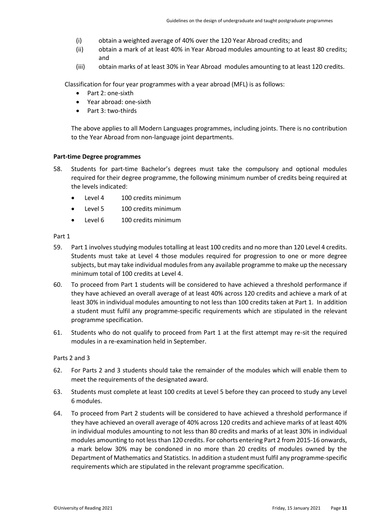- (i) obtain a weighted average of 40% over the 120 Year Abroad credits; and
- (ii) obtain a mark of at least 40% in Year Abroad modules amounting to at least 80 credits; and
- (iii) obtain marks of at least 30% in Year Abroad modules amounting to at least 120 credits.

Classification for four year programmes with a year abroad (MFL) is as follows:

- Part 2: one-sixth
- Year abroad: one-sixth
- Part 3: two-thirds

The above applies to all Modern Languages programmes, including joints. There is no contribution to the Year Abroad from non-language joint departments.

### <span id="page-10-0"></span>**Part-time Degree programmes**

- 58. Students for part-time Bachelor's degrees must take the compulsory and optional modules required for their degree programme, the following minimum number of credits being required at the levels indicated:
	- Level 4 100 credits minimum
	- Level 5 100 credits minimum
	- Level 6 100 credits minimum

Part 1

- 59. Part 1 involves studying modules totalling at least 100 credits and no more than 120 Level 4 credits. Students must take at Level 4 those modules required for progression to one or more degree subjects, but may take individual modules from any available programme to make up the necessary minimum total of 100 credits at Level 4.
- 60. To proceed from Part 1 students will be considered to have achieved a threshold performance if they have achieved an overall average of at least 40% across 120 credits and achieve a mark of at least 30% in individual modules amounting to not less than 100 credits taken at Part 1. In addition a student must fulfil any programme-specific requirements which are stipulated in the relevant programme specification.
- 61. Students who do not qualify to proceed from Part 1 at the first attempt may re-sit the required modules in a re-examination held in September.

### Parts 2 and 3

- 62. For Parts 2 and 3 students should take the remainder of the modules which will enable them to meet the requirements of the designated award.
- 63. Students must complete at least 100 credits at Level 5 before they can proceed to study any Level 6 modules.
- 64. To proceed from Part 2 students will be considered to have achieved a threshold performance if they have achieved an overall average of 40% across 120 credits and achieve marks of at least 40% in individual modules amounting to not less than 80 credits and marks of at least 30% in individual modules amounting to not less than 120 credits. For cohorts entering Part 2 from 2015-16 onwards, a mark below 30% may be condoned in no more than 20 credits of modules owned by the Department of Mathematics and Statistics. In addition a student must fulfil any programme-specific requirements which are stipulated in the relevant programme specification.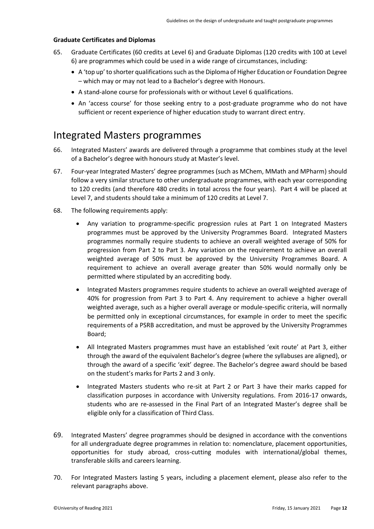### <span id="page-11-0"></span>**Graduate Certificates and Diplomas**

- 65. Graduate Certificates (60 credits at Level 6) and Graduate Diplomas (120 credits with 100 at Level 6) are programmes which could be used in a wide range of circumstances, including:
	- A 'top up' to shorter qualifications such as the Diploma of Higher Education or Foundation Degree – which may or may not lead to a Bachelor's degree with Honours.
	- A stand-alone course for professionals with or without Level 6 qualifications.
	- An 'access course' for those seeking entry to a post-graduate programme who do not have sufficient or recent experience of higher education study to warrant direct entry.

### <span id="page-11-1"></span>Integrated Masters programmes

- 66. Integrated Masters' awards are delivered through a programme that combines study at the level of a Bachelor's degree with honours study at Master's level.
- 67. Four-year Integrated Masters' degree programmes (such as MChem, MMath and MPharm) should follow a very similar structure to other undergraduate programmes, with each year corresponding to 120 credits (and therefore 480 credits in total across the four years). Part 4 will be placed at Level 7, and students should take a minimum of 120 credits at Level 7.
- 68. The following requirements apply:
	- Any variation to programme-specific progression rules at Part 1 on Integrated Masters programmes must be approved by the University Programmes Board. Integrated Masters programmes normally require students to achieve an overall weighted average of 50% for progression from Part 2 to Part 3. Any variation on the requirement to achieve an overall weighted average of 50% must be approved by the University Programmes Board. A requirement to achieve an overall average greater than 50% would normally only be permitted where stipulated by an accrediting body.
	- Integrated Masters programmes require students to achieve an overall weighted average of 40% for progression from Part 3 to Part 4. Any requirement to achieve a higher overall weighted average, such as a higher overall average or module-specific criteria, will normally be permitted only in exceptional circumstances, for example in order to meet the specific requirements of a PSRB accreditation, and must be approved by the University Programmes Board;
	- All Integrated Masters programmes must have an established 'exit route' at Part 3, either through the award of the equivalent Bachelor's degree (where the syllabuses are aligned), or through the award of a specific 'exit' degree. The Bachelor's degree award should be based on the student's marks for Parts 2 and 3 only.
	- Integrated Masters students who re-sit at Part 2 or Part 3 have their marks capped for classification purposes in accordance with University regulations. From 2016-17 onwards, students who are re-assessed in the Final Part of an Integrated Master's degree shall be eligible only for a classification of Third Class.
- 69. Integrated Masters' degree programmes should be designed in accordance with the conventions for all undergraduate degree programmes in relation to: nomenclature, placement opportunities, opportunities for study abroad, cross-cutting modules with international/global themes, transferable skills and careers learning.
- 70. For Integrated Masters lasting 5 years, including a placement element, please also refer to the relevant paragraphs above.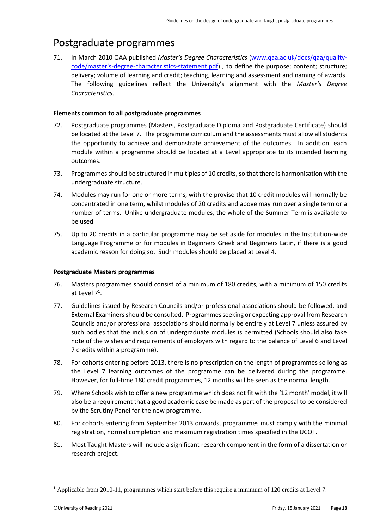# <span id="page-12-0"></span>Postgraduate programmes

71. In March 2010 QAA published *Master's Degree Characteristics* [\(www.qaa.ac.uk/docs/qaa/quality](http://www.qaa.ac.uk/docs/qaa/quality-code/master)[code/master's-degree-characteristics-statement.pdf\)](http://www.qaa.ac.uk/docs/qaa/quality-code/master) *,* to define the purpose; content; structure; delivery; volume of learning and credit; teaching, learning and assessment and naming of awards. The following guidelines reflect the University's alignment with the *Master's Degree Characteristics*.

### <span id="page-12-1"></span>**Elements common to all postgraduate programmes**

- 72. Postgraduate programmes (Masters, Postgraduate Diploma and Postgraduate Certificate) should be located at the Level 7. The programme curriculum and the assessments must allow all students the opportunity to achieve and demonstrate achievement of the outcomes. In addition, each module within a programme should be located at a Level appropriate to its intended learning outcomes.
- 73. Programmes should be structured in multiples of 10 credits, so that there is harmonisation with the undergraduate structure.
- 74. Modules may run for one or more terms, with the proviso that 10 credit modules will normally be concentrated in one term, whilst modules of 20 credits and above may run over a single term or a number of terms. Unlike undergraduate modules, the whole of the Summer Term is available to be used.
- 75. Up to 20 credits in a particular programme may be set aside for modules in the Institution-wide Language Programme or for modules in Beginners Greek and Beginners Latin, if there is a good academic reason for doing so. Such modules should be placed at Level 4.

### <span id="page-12-2"></span>**Postgraduate Masters programmes**

- 76. Masters programmes should consist of a minimum of 180 credits, with a minimum of 150 credits at Level 7<sup>1</sup>.
- 77. Guidelines issued by Research Councils and/or professional associations should be followed, and External Examiners should be consulted. Programmes seeking or expecting approval from Research Councils and/or professional associations should normally be entirely at Level 7 unless assured by such bodies that the inclusion of undergraduate modules is permitted (Schools should also take note of the wishes and requirements of employers with regard to the balance of Level 6 and Level 7 credits within a programme).
- 78. For cohorts entering before 2013, there is no prescription on the length of programmes so long as the Level 7 learning outcomes of the programme can be delivered during the programme. However, for full-time 180 credit programmes, 12 months will be seen as the normal length.
- 79. Where Schools wish to offer a new programme which does not fit with the '12 month' model, it will also be a requirement that a good academic case be made as part of the proposal to be considered by the Scrutiny Panel for the new programme.
- 80. For cohorts entering from September 2013 onwards, programmes must comply with the minimal registration, normal completion and maximum registration times specified in the UCQF.
- 81. Most Taught Masters will include a significant research component in the form of a dissertation or research project.

 $1$  Applicable from 2010-11, programmes which start before this require a minimum of 120 credits at Level 7.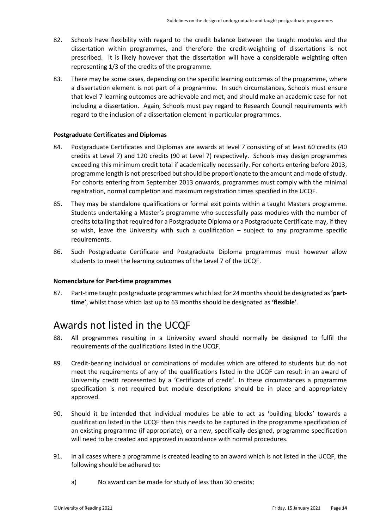- 82. Schools have flexibility with regard to the credit balance between the taught modules and the dissertation within programmes, and therefore the credit-weighting of dissertations is not prescribed. It is likely however that the dissertation will have a considerable weighting often representing 1/3 of the credits of the programme.
- 83. There may be some cases, depending on the specific learning outcomes of the programme, where a dissertation element is not part of a programme. In such circumstances, Schools must ensure that level 7 learning outcomes are achievable and met, and should make an academic case for not including a dissertation. Again, Schools must pay regard to Research Council requirements with regard to the inclusion of a dissertation element in particular programmes.

### <span id="page-13-0"></span>**Postgraduate Certificates and Diplomas**

- 84. Postgraduate Certificates and Diplomas are awards at level 7 consisting of at least 60 credits (40 credits at Level 7) and 120 credits (90 at Level 7) respectively. Schools may design programmes exceeding this minimum credit total if academically necessarily. For cohorts entering before 2013, programme length is not prescribed but should be proportionate to the amount and mode of study. For cohorts entering from September 2013 onwards, programmes must comply with the minimal registration, normal completion and maximum registration times specified in the UCQF.
- 85. They may be standalone qualifications or formal exit points within a taught Masters programme. Students undertaking a Master's programme who successfully pass modules with the number of credits totalling that required for a Postgraduate Diploma or a Postgraduate Certificate may, if they so wish, leave the University with such a qualification – subject to any programme specific requirements.
- 86. Such Postgraduate Certificate and Postgraduate Diploma programmes must however allow students to meet the learning outcomes of the Level 7 of the UCQF.

### <span id="page-13-1"></span>**Nomenclature for Part-time programmes**

87. Part-time taught postgraduate programmes which last for 24 months should be designated as **'parttime'**, whilst those which last up to 63 months should be designated as **'flexible'**.

### <span id="page-13-2"></span>Awards not listed in the UCQF

- 88. All programmes resulting in a University award should normally be designed to fulfil the requirements of the qualifications listed in the UCQF.
- 89. Credit-bearing individual or combinations of modules which are offered to students but do not meet the requirements of any of the qualifications listed in the UCQF can result in an award of University credit represented by a 'Certificate of credit'. In these circumstances a programme specification is not required but module descriptions should be in place and appropriately approved.
- 90. Should it be intended that individual modules be able to act as 'building blocks' towards a qualification listed in the UCQF then this needs to be captured in the programme specification of an existing programme (if appropriate), or a new, specifically designed, programme specification will need to be created and approved in accordance with normal procedures.
- 91. In all cases where a programme is created leading to an award which is not listed in the UCQF, the following should be adhered to:
	- a) No award can be made for study of less than 30 credits;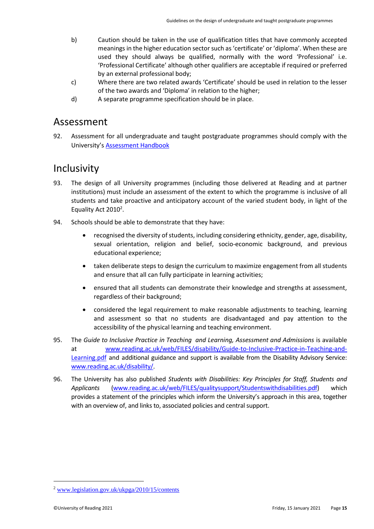- b) Caution should be taken in the use of qualification titles that have commonly accepted meanings in the higher education sector such as 'certificate' or 'diploma'. When these are used they should always be qualified, normally with the word 'Professional' i.e. 'Professional Certificate' although other qualifiers are acceptable if required or preferred by an external professional body;
- c) Where there are two related awards 'Certificate' should be used in relation to the lesser of the two awards and 'Diploma' in relation to the higher;
- d) A separate programme specification should be in place.

### <span id="page-14-0"></span>Assessment

92. Assessment for all undergraduate and taught postgraduate programmes should comply with the University's [Assessment Handbook](http://www.reading.ac.uk/cqsd/QualityAssurance/PoliciesandProcedures/cqsd-assessmenthandbook.aspx)

### <span id="page-14-1"></span>**Inclusivity**

- 93. The design of all University programmes (including those delivered at Reading and at partner institutions) must include an assessment of the extent to which the programme is inclusive of all students and take proactive and anticipatory account of the varied student body, in light of the Equality Act 2010<sup>2</sup>.
- 94. Schools should be able to demonstrate that they have:
	- recognised the diversity of students, including considering ethnicity, gender, age, disability, sexual orientation, religion and belief, socio-economic background, and previous educational experience;
	- taken deliberate steps to design the curriculum to maximize engagement from all students and ensure that all can fully participate in learning activities;
	- ensured that all students can demonstrate their knowledge and strengths at assessment, regardless of their background;
	- considered the legal requirement to make reasonable adjustments to teaching, learning and assessment so that no students are disadvantaged and pay attention to the accessibility of the physical learning and teaching environment.
- 95. The *Guide to Inclusive Practice in Teaching and Learning, Assessment and Admissions* is available at [www.reading.ac.uk/web/FILES/disability/Guide-to-Inclusive-Practice-in-Teaching-and-](http://www.reading.ac.uk/web/FILES/disability/Guide-to-Inclusive-Practice-in-Teaching-and-Learning.pdf)[Learning.pdf](http://www.reading.ac.uk/web/FILES/disability/Guide-to-Inclusive-Practice-in-Teaching-and-Learning.pdf) and additional guidance and support is available from the Disability Advisory Service: [www.reading.ac.uk/disability/.](http://www.reading.ac.uk/disability/)
- 96. The University has also published *Students with Disabilities: Key Principles for Staff, Students and Applicants* [\(www.reading.ac.uk/web/FILES/qualitysupport/Studentswithdisabilities.pdf\)](http://www.reading.ac.uk/web/FILES/qualitysupport/Studentswithdisabilities.pdf) which provides a statement of the principles which inform the University's approach in this area, together with an overview of, and links to, associated policies and central support.

 $2$  [www.legislation.gov.uk/ukpga/2010/15/contents](http://www.legislation.gov.uk/ukpga/2010/15/contents)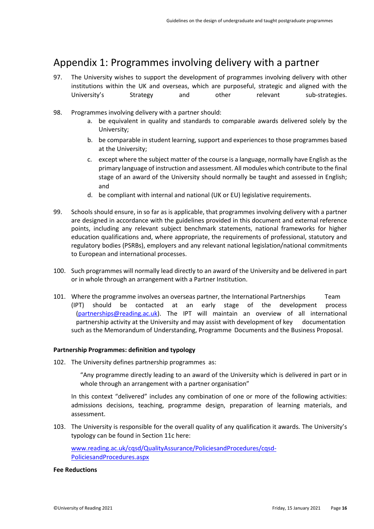# <span id="page-15-0"></span>Appendix 1: Programmes involving delivery with a partner

- 97. The University wishes to support the development of programmes involving delivery with other institutions within the UK and overseas, which are purposeful, strategic and aligned with the University's Strategy and other relevant sub-strategies.
- 98. Programmes involving delivery with a partner should:
	- a. be equivalent in quality and standards to comparable awards delivered solely by the University;
	- b. be comparable in student learning, support and experiences to those programmes based at the University;
	- c. except where the subject matter of the course is a language, normally have English as the primary language of instruction and assessment. All modules which contribute to the final stage of an award of the University should normally be taught and assessed in English; and
	- d. be compliant with internal and national (UK or EU) legislative requirements.
- 99. Schools should ensure, in so far as is applicable, that programmes involving delivery with a partner are designed in accordance with the guidelines provided in this document and external reference points, including any relevant subject benchmark statements, national frameworks for higher education qualifications and, where appropriate, the requirements of professional, statutory and regulatory bodies (PSRBs), employers and any relevant national legislation/national commitments to European and international processes.
- 100. Such programmes will normally lead directly to an award of the University and be delivered in part or in whole through an arrangement with a Partner Institution.
- 101. Where the programme involves an overseas partner, the International Partnerships Team (IPT) should be contacted at an early stage of the development process [\(partnerships@reading.ac.uk\)](mailto:partnerships@reading.ac.uk). The IPT will maintain an overview of all international partnership activity at the University and may assist with development of key documentation such as the Memorandum of Understanding, Programme Documents and the Business Proposal.

### <span id="page-15-1"></span>**Partnership Programmes: definition and typology**

102. The University defines partnership programmes as:

"Any programme directly leading to an award of the University which is delivered in part or in whole through an arrangement with a partner organisation"

In this context "delivered" includes any combination of one or more of the following activities: admissions decisions, teaching, programme design, preparation of learning materials, and assessment.

103. The University is responsible for the overall quality of any qualification it awards. The University's typology can be found in Section 11c here:

[www.reading.ac.uk/cqsd/QualityAssurance/PoliciesandProcedures/cqsd-](http://www.reading.ac.uk/cqsd/QualityAssurance/PoliciesandProcedures/cqsd-PoliciesandProcedures.aspx)[PoliciesandProcedures.aspx](http://www.reading.ac.uk/cqsd/QualityAssurance/PoliciesandProcedures/cqsd-PoliciesandProcedures.aspx)

### **Fee Reductions**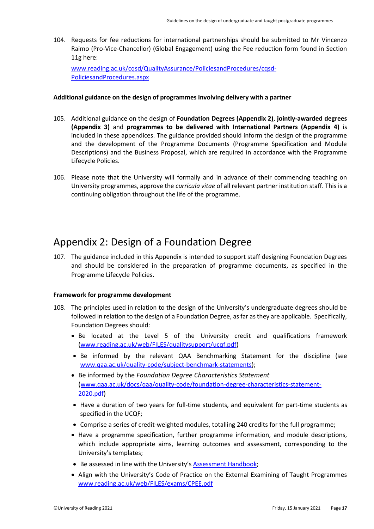104. Requests for fee reductions for international partnerships should be submitted to Mr Vincenzo Raimo (Pro-Vice-Chancellor) (Global Engagement) using the Fee reduction form found in Section 11g here:

[www.reading.ac.uk/cqsd/QualityAssurance/PoliciesandProcedures/cqsd-](http://www.reading.ac.uk/cqsd/QualityAssurance/PoliciesandProcedures/cqsd-PoliciesandProcedures.aspx)[PoliciesandProcedures.aspx](http://www.reading.ac.uk/cqsd/QualityAssurance/PoliciesandProcedures/cqsd-PoliciesandProcedures.aspx)

### <span id="page-16-0"></span>**Additional guidance on the design of programmes involving delivery with a partner**

- 105. Additional guidance on the design of **Foundation Degrees (Appendix 2)**, **jointly-awarded degrees (Appendix 3)** and **programmes to be delivered with International Partners (Appendix 4)** is included in these appendices. The guidance provided should inform the design of the programme and the development of the Programme Documents (Programme Specification and Module Descriptions) and the Business Proposal, which are required in accordance with the Programme Lifecycle Policies.
- 106. Please note that the University will formally and in advance of their commencing teaching on University programmes, approve the *curricula vitae* of all relevant partner institution staff. This is a continuing obligation throughout the life of the programme.

### <span id="page-16-1"></span>Appendix 2: Design of a Foundation Degree

107. The guidance included in this Appendix is intended to support staff designing Foundation Degrees and should be considered in the preparation of programme documents, as specified in the Programme Lifecycle Policies.

### <span id="page-16-2"></span>**Framework for programme development**

- 108. The principles used in relation to the design of the University's undergraduate degrees should be followed in relation to the design of a Foundation Degree, as far as they are applicable. Specifically, Foundation Degrees should:
	- Be located at the Level 5 of the University credit and qualifications framework [\(www.reading.ac.uk/web/FILES/qualitysupport/ucqf.pdf\)](http://www.reading.ac.uk/web/FILES/qualitysupport/ucqf.pdf)
	- Be informed by the relevant QAA Benchmarking Statement for the discipline (see [www.qaa.ac.uk/quality-code/subject-benchmark-statements\)](http://www.qaa.ac.uk/quality-code/subject-benchmark-statements);
	- Be informed by the *Foundation Degree Characteristics Statement* ([www.qaa.ac.uk/docs/qaa/quality-code/foundation-degree-characteristics-statement-](http://www.qaa.ac.uk/docs/qaa/quality-code/foundation-degree-characteristics-statement-2020.pdf)[2020.pdf](http://www.qaa.ac.uk/docs/qaa/quality-code/foundation-degree-characteristics-statement-2020.pdf))
	- Have a duration of two years for full-time students, and equivalent for part-time students as specified in the UCQF;
	- Comprise a series of credit-weighted modules, totalling 240 credits for the full programme;
	- Have a programme specification, further programme information, and module descriptions, which include appropriate aims, learning outcomes and assessment, corresponding to the University's templates;
	- Be assessed in line with the University's [Assessment Handbook;](http://www.reading.ac.uk/cqsd/QualityAssurance/PoliciesandProcedures/cqsd-assessmenthandbook.aspx)
	- Align with the University's Code of Practice on the External Examining of Taught Programmes [www.reading.ac.uk/web/FILES/exams/CPEE.pdf](http://www.reading.ac.uk/web/FILES/exams/CPEE.pdf)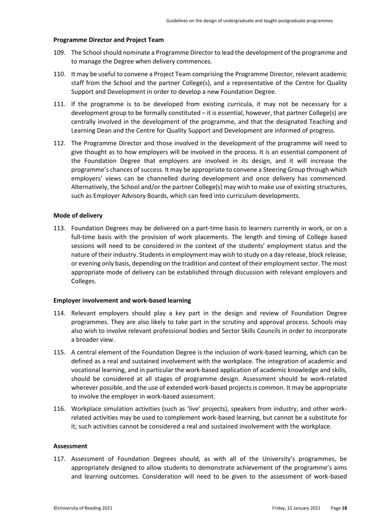### <span id="page-17-0"></span>**Programme Director and Project Team**

- 109. The School should nominate a Programme Director to lead the development of the programme and to manage the Degree when delivery commences.
- 110. It may be useful to convene a Project Team comprising the Programme Director, relevant academic staff from the School and the partner College(s), and a representative of the Centre for Quality Support and Development in order to develop a new Foundation Degree.
- 111. If the programme is to be developed from existing curricula, it may not be necessary for a development group to be formally constituted – it is essential, however, that partner College(s) are centrally involved in the development of the programme, and that the designated Teaching and Learning Dean and the Centre for Quality Support and Development are informed of progress.
- 112. The Programme Director and those involved in the development of the programme will need to give thought as to how employers will be involved in the process. It is an essential component of the Foundation Degree that employers are involved in its design, and it will increase the programme's chances of success. It may be appropriate to convene a Steering Group through which employers' views can be channelled during development and once delivery has commenced. Alternatively, the School and/or the partner College(s) may wish to make use of existing structures, such as Employer Advisory Boards, which can feed into curriculum developments.

### <span id="page-17-1"></span>**Mode of delivery**

113. Foundation Degrees may be delivered on a part-time basis to learners currently in work, or on a full-time basis with the provision of work placements. The length and timing of College based sessions will need to be considered in the context of the students' employment status and the nature of their industry. Students in employment may wish to study on a day release, block release, or evening only basis, depending on the tradition and context of their employment sector. The most appropriate mode of delivery can be established through discussion with relevant employers and Colleges.

### <span id="page-17-2"></span>**Employer involvement and work-based learning**

- 114. Relevant employers should play a key part in the design and review of Foundation Degree programmes. They are also likely to take part in the scrutiny and approval process. Schools may also wish to involve relevant professional bodies and Sector Skills Councils in order to incorporate a broader view.
- 115. A central element of the Foundation Degree is the inclusion of work-based learning, which can be defined as a real and sustained involvement with the workplace. The integration of academic and vocational learning, and in particular the work-based application of academic knowledge and skills, should be considered at all stages of programme design. Assessment should be work-related wherever possible, and the use of extended work-based projects is common. It may be appropriate to involve the employer in work-based assessment.
- 116. Workplace simulation activities (such as 'live' projects), speakers from industry, and other workrelated activities may be used to complement work-based learning, but cannot be a substitute for it; such activities cannot be considered a real and sustained involvement with the workplace.

### <span id="page-17-3"></span>**Assessment**

117. Assessment of Foundation Degrees should, as with all of the University's programmes, be appropriately designed to allow students to demonstrate achievement of the programme's aims and learning outcomes. Consideration will need to be given to the assessment of work-based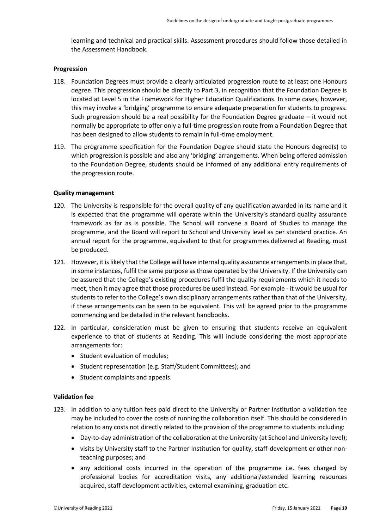learning and technical and practical skills. Assessment procedures should follow those detailed in the Assessment Handbook.

### <span id="page-18-0"></span>**Progression**

- 118. Foundation Degrees must provide a clearly articulated progression route to at least one Honours degree. This progression should be directly to Part 3, in recognition that the Foundation Degree is located at Level 5 in the Framework for Higher Education Qualifications. In some cases, however, this may involve a 'bridging' programme to ensure adequate preparation for students to progress. Such progression should be a real possibility for the Foundation Degree graduate – it would not normally be appropriate to offer only a full-time progression route from a Foundation Degree that has been designed to allow students to remain in full-time employment.
- 119. The programme specification for the Foundation Degree should state the Honours degree(s) to which progression is possible and also any 'bridging' arrangements. When being offered admission to the Foundation Degree, students should be informed of any additional entry requirements of the progression route.

### <span id="page-18-1"></span>**Quality management**

- 120. The University is responsible for the overall quality of any qualification awarded in its name and it is expected that the programme will operate within the University's standard quality assurance framework as far as is possible. The School will convene a Board of Studies to manage the programme, and the Board will report to School and University level as per standard practice. An annual report for the programme, equivalent to that for programmes delivered at Reading, must be produced.
- 121. However, it is likely that the College will have internal quality assurance arrangements in place that, in some instances, fulfil the same purpose as those operated by the University. If the University can be assured that the College's existing procedures fulfil the quality requirements which it needs to meet, then it may agree that those procedures be used instead. For example - it would be usual for students to refer to the College's own disciplinary arrangements rather than that of the University, if these arrangements can be seen to be equivalent. This will be agreed prior to the programme commencing and be detailed in the relevant handbooks.
- 122. In particular, consideration must be given to ensuring that students receive an equivalent experience to that of students at Reading. This will include considering the most appropriate arrangements for:
	- Student evaluation of modules;
	- Student representation (e.g. Staff/Student Committees); and
	- Student complaints and appeals.

### <span id="page-18-2"></span>**Validation fee**

- 123. In addition to any tuition fees paid direct to the University or Partner Institution a validation fee may be included to cover the costs of running the collaboration itself. This should be considered in relation to any costs not directly related to the provision of the programme to students including:
	- Day-to-day administration of the collaboration at the University (at School and University level);
	- visits by University staff to the Partner Institution for quality, staff-development or other nonteaching purposes; and
	- any additional costs incurred in the operation of the programme i.e. fees charged by professional bodies for accreditation visits, any additional/extended learning resources acquired, staff development activities, external examining, graduation etc.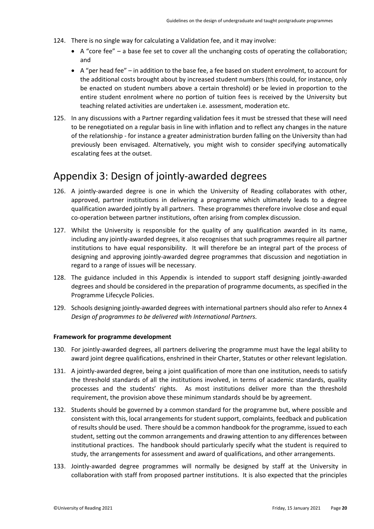- 124. There is no single way for calculating a Validation fee, and it may involve:
	- A "core fee" a base fee set to cover all the unchanging costs of operating the collaboration; and
	- A "per head fee" in addition to the base fee, a fee based on student enrolment, to account for the additional costs brought about by increased student numbers (this could, for instance, only be enacted on student numbers above a certain threshold) or be levied in proportion to the entire student enrolment where no portion of tuition fees is received by the University but teaching related activities are undertaken i.e. assessment, moderation etc.
- 125. In any discussions with a Partner regarding validation fees it must be stressed that these will need to be renegotiated on a regular basis in line with inflation and to reflect any changes in the nature of the relationship - for instance a greater administration burden falling on the University than had previously been envisaged. Alternatively, you might wish to consider specifying automatically escalating fees at the outset.

### <span id="page-19-0"></span>Appendix 3: Design of jointly-awarded degrees

- 126. A jointly-awarded degree is one in which the University of Reading collaborates with other, approved, partner institutions in delivering a programme which ultimately leads to a degree qualification awarded jointly by all partners. These programmes therefore involve close and equal co-operation between partner institutions, often arising from complex discussion.
- 127. Whilst the University is responsible for the quality of any qualification awarded in its name, including any jointly-awarded degrees, it also recognises that such programmes require all partner institutions to have equal responsibility. It will therefore be an integral part of the process of designing and approving jointly-awarded degree programmes that discussion and negotiation in regard to a range of issues will be necessary.
- 128. The guidance included in this Appendix is intended to support staff designing jointly-awarded degrees and should be considered in the preparation of programme documents, as specified in the Programme Lifecycle Policies.
- 129. Schools designing jointly-awarded degrees with international partners should also refer to Annex 4 *Design of programmes to be delivered with International Partners.*

### <span id="page-19-1"></span>**Framework for programme development**

- 130. For jointly-awarded degrees, all partners delivering the programme must have the legal ability to award joint degree qualifications, enshrined in their Charter, Statutes or other relevant legislation.
- 131. A jointly-awarded degree, being a joint qualification of more than one institution, needs to satisfy the threshold standards of all the institutions involved, in terms of academic standards, quality processes and the students' rights. As most institutions deliver more than the threshold requirement, the provision above these minimum standards should be by agreement.
- 132. Students should be governed by a common standard for the programme but, where possible and consistent with this, local arrangements for student support, complaints, feedback and publication of results should be used. There should be a common handbook for the programme, issued to each student, setting out the common arrangements and drawing attention to any differences between institutional practices. The handbook should particularly specify what the student is required to study, the arrangements for assessment and award of qualifications, and other arrangements.
- 133. Jointly-awarded degree programmes will normally be designed by staff at the University in collaboration with staff from proposed partner institutions. It is also expected that the principles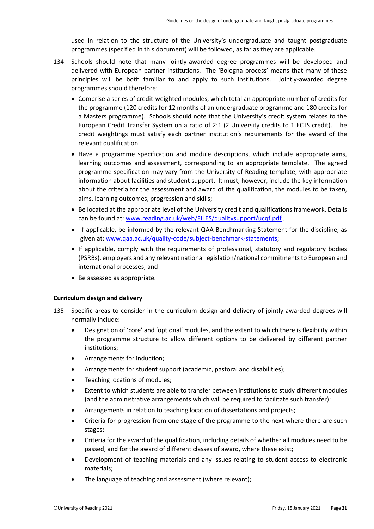used in relation to the structure of the University's undergraduate and taught postgraduate programmes (specified in this document) will be followed, as far as they are applicable.

- 134. Schools should note that many jointly-awarded degree programmes will be developed and delivered with European partner institutions. The 'Bologna process' means that many of these principles will be both familiar to and apply to such institutions. Jointly-awarded degree programmes should therefore:
	- Comprise a series of credit-weighted modules, which total an appropriate number of credits for the programme (120 credits for 12 months of an undergraduate programme and 180 credits for a Masters programme). Schools should note that the University's credit system relates to the European Credit Transfer System on a ratio of 2:1 (2 University credits to 1 ECTS credit). The credit weightings must satisfy each partner institution's requirements for the award of the relevant qualification.
	- Have a programme specification and module descriptions, which include appropriate aims, learning outcomes and assessment, corresponding to an appropriate template. The agreed programme specification may vary from the University of Reading template, with appropriate information about facilities and student support. It must, however, include the key information about the criteria for the assessment and award of the qualification, the modules to be taken, aims, learning outcomes, progression and skills;
	- Be located at the appropriate level of the University credit and qualifications framework. Details can be found at: [www.reading.ac.uk/web/FILES/qualitysupport/ucqf.pdf](http://www.reading.ac.uk/web/FILES/qualitysupport/ucqf.pdf);
	- If applicable, be informed by the relevant QAA Benchmarking Statement for the discipline, as given at[: www.qaa.ac.uk/quality-code/subject-benchmark-statements;](http://www.qaa.ac.uk/quality-code/subject-benchmark-statements)
	- If applicable, comply with the requirements of professional, statutory and regulatory bodies (PSRBs), employers and any relevant national legislation/national commitments to European and international processes; and
	- Be assessed as appropriate.

### <span id="page-20-0"></span>**Curriculum design and delivery**

- 135. Specific areas to consider in the curriculum design and delivery of jointly-awarded degrees will normally include:
	- Designation of 'core' and 'optional' modules, and the extent to which there is flexibility within the programme structure to allow different options to be delivered by different partner institutions;
	- Arrangements for induction;
	- Arrangements for student support (academic, pastoral and disabilities);
	- Teaching locations of modules;
	- Extent to which students are able to transfer between institutions to study different modules (and the administrative arrangements which will be required to facilitate such transfer);
	- Arrangements in relation to teaching location of dissertations and projects;
	- Criteria for progression from one stage of the programme to the next where there are such stages;
	- Criteria for the award of the qualification, including details of whether all modules need to be passed, and for the award of different classes of award, where these exist;
	- Development of teaching materials and any issues relating to student access to electronic materials;
	- The language of teaching and assessment (where relevant);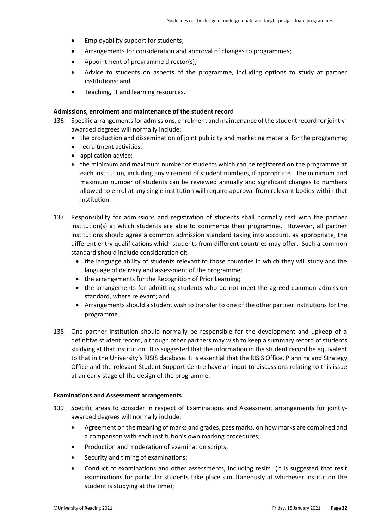- Employability support for students;
- Arrangements for consideration and approval of changes to programmes;
- Appointment of programme director(s);
- Advice to students on aspects of the programme, including options to study at partner institutions; and
- Teaching, IT and learning resources.

### <span id="page-21-0"></span>**Admissions, enrolment and maintenance of the student record**

- 136. Specific arrangements for admissions, enrolment and maintenance of the student record for jointlyawarded degrees will normally include:
	- the production and dissemination of joint publicity and marketing material for the programme;
	- recruitment activities;
	- application advice;
	- the minimum and maximum number of students which can be registered on the programme at each institution, including any virement of student numbers, if appropriate. The minimum and maximum number of students can be reviewed annually and significant changes to numbers allowed to enrol at any single institution will require approval from relevant bodies within that institution.
- 137. Responsibility for admissions and registration of students shall normally rest with the partner institution(s) at which students are able to commence their programme. However, all partner institutions should agree a common admission standard taking into account, as appropriate, the different entry qualifications which students from different countries may offer. Such a common standard should include consideration of:
	- the language ability of students relevant to those countries in which they will study and the language of delivery and assessment of the programme;
	- the arrangements for the Recognition of Prior Learning;
	- the arrangements for admitting students who do not meet the agreed common admission standard, where relevant; and
	- Arrangements should a student wish to transfer to one of the other partner institutions for the programme.
- 138. One partner institution should normally be responsible for the development and upkeep of a definitive student record, although other partners may wish to keep a summary record of students studying at that institution. It is suggested that the information in the student record be equivalent to that in the University's RISIS database. It is essential that the RISIS Office, Planning and Strategy Office and the relevant Student Support Centre have an input to discussions relating to this issue at an early stage of the design of the programme.

### <span id="page-21-1"></span>**Examinations and Assessment arrangements**

- 139. Specific areas to consider in respect of Examinations and Assessment arrangements for jointlyawarded degrees will normally include:
	- Agreement on the meaning of marks and grades, pass marks, on how marks are combined and a comparison with each institution's own marking procedures;
	- Production and moderation of examination scripts;
	- Security and timing of examinations;
	- Conduct of examinations and other assessments, including resits (it is suggested that resit examinations for particular students take place simultaneously at whichever institution the student is studying at the time);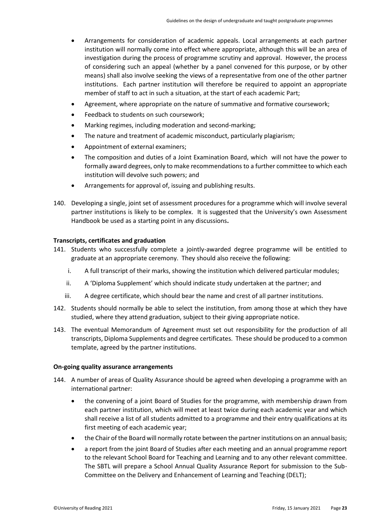- Arrangements for consideration of academic appeals. Local arrangements at each partner institution will normally come into effect where appropriate, although this will be an area of investigation during the process of programme scrutiny and approval. However, the process of considering such an appeal (whether by a panel convened for this purpose, or by other means) shall also involve seeking the views of a representative from one of the other partner institutions. Each partner institution will therefore be required to appoint an appropriate member of staff to act in such a situation, at the start of each academic Part;
- Agreement, where appropriate on the nature of summative and formative coursework;
- Feedback to students on such coursework;
- Marking regimes, including moderation and second-marking;
- The nature and treatment of academic misconduct, particularly plagiarism;
- Appointment of external examiners;
- The composition and duties of a Joint Examination Board, which will not have the power to formally award degrees, only to make recommendations to a further committee to which each institution will devolve such powers; and
- Arrangements for approval of, issuing and publishing results.
- 140. Developing a single, joint set of assessment procedures for a programme which will involve several partner institutions is likely to be complex. It is suggested that the University's own Assessment Handbook be used as a starting point in any discussions**.**

### <span id="page-22-0"></span>**Transcripts, certificates and graduation**

- 141. Students who successfully complete a jointly-awarded degree programme will be entitled to graduate at an appropriate ceremony. They should also receive the following:
	- i. A full transcript of their marks, showing the institution which delivered particular modules;
	- ii. A 'Diploma Supplement' which should indicate study undertaken at the partner; and
	- iii. A degree certificate, which should bear the name and crest of all partner institutions.
- 142. Students should normally be able to select the institution, from among those at which they have studied, where they attend graduation, subject to their giving appropriate notice.
- 143. The eventual Memorandum of Agreement must set out responsibility for the production of all transcripts, Diploma Supplements and degree certificates. These should be produced to a common template, agreed by the partner institutions.

### <span id="page-22-1"></span>**On-going quality assurance arrangements**

- 144. A number of areas of Quality Assurance should be agreed when developing a programme with an international partner:
	- the convening of a joint Board of Studies for the programme, with membership drawn from each partner institution, which will meet at least twice during each academic year and which shall receive a list of all students admitted to a programme and their entry qualifications at its first meeting of each academic year;
	- the Chair of the Board will normally rotate between the partner institutions on an annual basis;
	- a report from the joint Board of Studies after each meeting and an annual programme report to the relevant School Board for Teaching and Learning and to any other relevant committee. The SBTL will prepare a School Annual Quality Assurance Report for submission to the Sub-Committee on the Delivery and Enhancement of Learning and Teaching (DELT);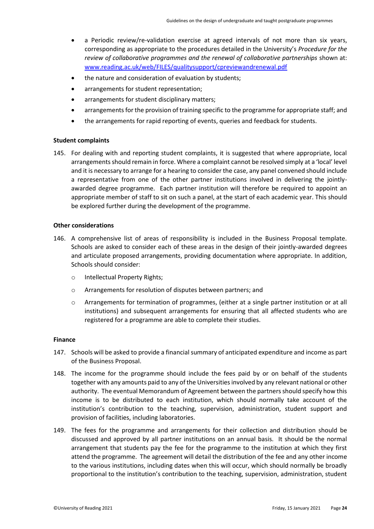- a Periodic review/re-validation exercise at agreed intervals of not more than six years, corresponding as appropriate to the procedures detailed in the University's *Procedure for the review of collaborative programmes and the renewal of collaborative partnerships* shown at: [www.reading.ac.uk/web/FILES/qualitysupport/cpreviewandrenewal.pdf](http://www.reading.ac.uk/web/FILES/qualitysupport/cpreviewandrenewal.pdf)
- the nature and consideration of evaluation by students;
- arrangements for student representation;
- arrangements for student disciplinary matters;
- arrangements for the provision of training specific to the programme for appropriate staff; and
- the arrangements for rapid reporting of events, queries and feedback for students.

### <span id="page-23-0"></span>**Student complaints**

145. For dealing with and reporting student complaints, it is suggested that where appropriate, local arrangements should remain in force. Where a complaint cannot be resolved simply at a 'local' level and it is necessary to arrange for a hearing to consider the case, any panel convened should include a representative from one of the other partner institutions involved in delivering the jointlyawarded degree programme. Each partner institution will therefore be required to appoint an appropriate member of staff to sit on such a panel, at the start of each academic year. This should be explored further during the development of the programme.

### <span id="page-23-1"></span>**Other considerations**

- 146. A comprehensive list of areas of responsibility is included in the Business Proposal template. Schools are asked to consider each of these areas in the design of their jointly-awarded degrees and articulate proposed arrangements, providing documentation where appropriate. In addition, Schools should consider:
	- o Intellectual Property Rights;
	- o Arrangements for resolution of disputes between partners; and
	- o Arrangements for termination of programmes, (either at a single partner institution or at all institutions) and subsequent arrangements for ensuring that all affected students who are registered for a programme are able to complete their studies.

### <span id="page-23-2"></span>**Finance**

- 147. Schools will be asked to provide a financial summary of anticipated expenditure and income as part of the Business Proposal.
- 148. The income for the programme should include the fees paid by or on behalf of the students together with any amounts paid to any of the Universities involved by any relevant national or other authority. The eventual Memorandum of Agreement between the partners should specify how this income is to be distributed to each institution, which should normally take account of the institution's contribution to the teaching, supervision, administration, student support and provision of facilities, including laboratories.
- 149. The fees for the programme and arrangements for their collection and distribution should be discussed and approved by all partner institutions on an annual basis. It should be the normal arrangement that students pay the fee for the programme to the institution at which they first attend the programme. The agreement will detail the distribution of the fee and any other income to the various institutions, including dates when this will occur, which should normally be broadly proportional to the institution's contribution to the teaching, supervision, administration, student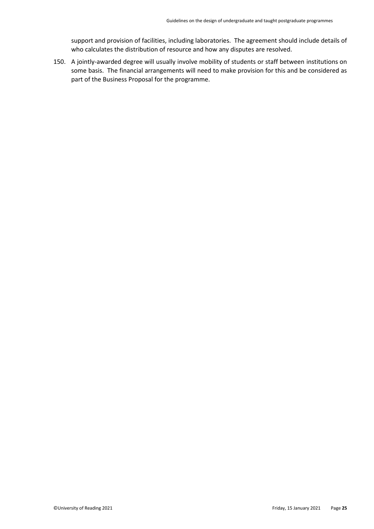support and provision of facilities, including laboratories. The agreement should include details of who calculates the distribution of resource and how any disputes are resolved.

150. A jointly-awarded degree will usually involve mobility of students or staff between institutions on some basis. The financial arrangements will need to make provision for this and be considered as part of the Business Proposal for the programme.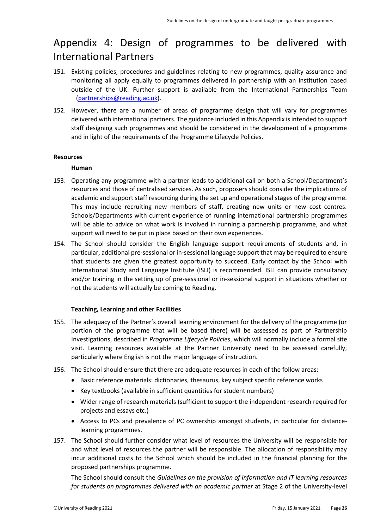# <span id="page-25-0"></span>Appendix 4: Design of programmes to be delivered with International Partners

- 151. Existing policies, procedures and guidelines relating to new programmes, quality assurance and monitoring all apply equally to programmes delivered in partnership with an institution based outside of the UK. Further support is available from the International Partnerships Team [\(partnerships@reading.ac.uk\)](mailto:partnerships@reading.ac.uk).
- 152. However, there are a number of areas of programme design that will vary for programmes delivered with international partners. The guidance included in this Appendix is intended to support staff designing such programmes and should be considered in the development of a programme and in light of the requirements of the Programme Lifecycle Policies.

### <span id="page-25-1"></span>**Resources**

### **Human**

- 153. Operating any programme with a partner leads to additional call on both a School/Department's resources and those of centralised services. As such, proposers should consider the implications of academic and support staff resourcing during the set up and operational stages of the programme. This may include recruiting new members of staff, creating new units or new cost centres. Schools/Departments with current experience of running international partnership programmes will be able to advice on what work is involved in running a partnership programme, and what support will need to be put in place based on their own experiences.
- 154. The School should consider the English language support requirements of students and, in particular, additional pre-sessional or in-sessional language support that may be required to ensure that students are given the greatest opportunity to succeed. Early contact by the School with International Study and Language Institute (ISLI) is recommended. ISLI can provide consultancy and/or training in the setting up of pre-sessional or in-sessional support in situations whether or not the students will actually be coming to Reading.

### **Teaching, Learning and other Facilities**

- 155. The adequacy of the Partner's overall learning environment for the delivery of the programme (or portion of the programme that will be based there) will be assessed as part of Partnership Investigations, described in *Programme Lifecycle Policies*, which will normally include a formal site visit. Learning resources available at the Partner University need to be assessed carefully, particularly where English is not the major language of instruction.
- 156. The School should ensure that there are adequate resources in each of the follow areas:
	- Basic reference materials: dictionaries, thesaurus, key subject specific reference works
	- Key textbooks (available in sufficient quantities for student numbers)
	- Wider range of research materials (sufficient to support the independent research required for projects and essays etc.)
	- Access to PCs and prevalence of PC ownership amongst students, in particular for distancelearning programmes.
- 157. The School should further consider what level of resources the University will be responsible for and what level of resources the partner will be responsible. The allocation of responsibility may incur additional costs to the School which should be included in the financial planning for the proposed partnerships programme.

The School should consult the *Guidelines on the provision of information and IT learning resources for students on programmes delivered with an academic partner* at Stage 2 of the University-level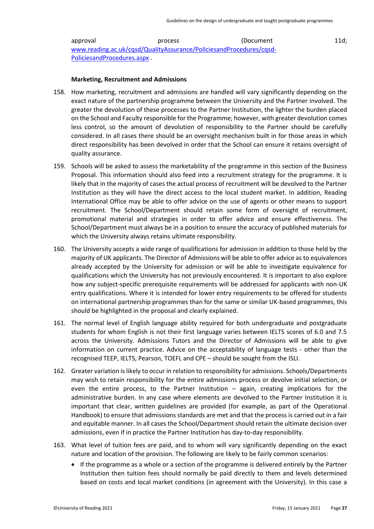approval process (Document 11d; [www.reading.ac.uk/cqsd/QualityAssurance/PoliciesandProcedures/cqsd-](http://www.reading.ac.uk/cqsd/QualityAssurance/PoliciesandProcedures/cqsd-PoliciesandProcedures.aspx)[PoliciesandProcedures.aspx](http://www.reading.ac.uk/cqsd/QualityAssurance/PoliciesandProcedures/cqsd-PoliciesandProcedures.aspx) .

### **Marketing, Recruitment and Admissions**

- 158. How marketing, recruitment and admissions are handled will vary significantly depending on the exact nature of the partnership programme between the University and the Partner involved. The greater the devolution of these processes to the Partner Institution, the lighter the burden placed on the School and Faculty responsible for the Programme; however, with greater devolution comes less control, so the amount of devolution of responsibility to the Partner should be carefully considered. In all cases there should be an oversight mechanism built in for those areas in which direct responsibility has been devolved in order that the School can ensure it retains oversight of quality assurance.
- 159. Schools will be asked to assess the marketability of the programme in this section of the Business Proposal. This information should also feed into a recruitment strategy for the programme. It is likely that in the majority of cases the actual process of recruitment will be devolved to the Partner Institution as they will have the direct access to the local student market. In addition, Reading International Office may be able to offer advice on the use of agents or other means to support recruitment. The School/Department should retain some form of oversight of recruitment, promotional material and strategies in order to offer advice and ensure effectiveness. The School/Department must always be in a position to ensure the accuracy of published materials for which the University always retains ultimate responsibility.
- 160. The University accepts a wide range of qualifications for admission in addition to those held by the majority of UK applicants. The Director of Admissions will be able to offer advice as to equivalences already accepted by the University for admission or will be able to investigate equivalence for qualifications which the University has not previously encountered. It is important to also explore how any subject-specific prerequisite requirements will be addressed for applicants with non-UK entry qualifications. Where it is intended for lower entry requirements to be offered for students on international partnership programmes than for the same or similar UK-based programmes, this should be highlighted in the proposal and clearly explained.
- 161. The normal level of English language ability required for both undergraduate and postgraduate students for whom English is not their first language varies between IELTS scores of 6.0 and 7.5 across the University. Admissions Tutors and the Director of Admissions will be able to give information on current practice. Advice on the acceptability of language tests - other than the recognised TEEP, IELTS, Pearson, TOEFL and CPE – should be sought from the ISLI.
- 162. Greater variation is likely to occur in relation to responsibility for admissions. Schools/Departments may wish to retain responsibility for the entire admissions process or devolve initial selection, or even the entire process, to the Partner Institution  $-$  again, creating implications for the administrative burden. In any case where elements are devolved to the Partner Institution it is important that clear, written guidelines are provided (for example, as part of the Operational Handbook) to ensure that admissions standards are met and that the process is carried out in a fair and equitable manner. In all cases the School/Department should retain the ultimate decision over admissions, even if in practice the Partner Institution has day-to-day responsibility.
- 163. What level of tuition fees are paid, and to whom will vary significantly depending on the exact nature and location of the provision. The following are likely to be fairly common scenarios:
	- If the programme as a whole or a section of the programme is delivered entirely by the Partner Institution then tuition fees should normally be paid directly to them and levels determined based on costs and local market conditions (in agreement with the University). In this case a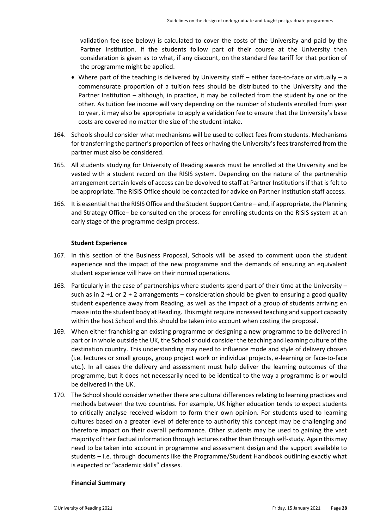validation fee (see below) is calculated to cover the costs of the University and paid by the Partner Institution. If the students follow part of their course at the University then consideration is given as to what, if any discount, on the standard fee tariff for that portion of the programme might be applied.

- Where part of the teaching is delivered by University staff either face-to-face or virtually a commensurate proportion of a tuition fees should be distributed to the University and the Partner Institution – although, in practice, it may be collected from the student by one or the other. As tuition fee income will vary depending on the number of students enrolled from year to year, it may also be appropriate to apply a validation fee to ensure that the University's base costs are covered no matter the size of the student intake.
- 164. Schools should consider what mechanisms will be used to collect fees from students. Mechanisms for transferring the partner's proportion of fees or having the University's fees transferred from the partner must also be considered.
- 165. All students studying for University of Reading awards must be enrolled at the University and be vested with a student record on the RISIS system. Depending on the nature of the partnership arrangement certain levels of access can be devolved to staff at Partner Institutions if that is felt to be appropriate. The RISIS Office should be contacted for advice on Partner Institution staff access.
- 166. It is essential that the RISIS Office and the Student Support Centre and, if appropriate, the Planning and Strategy Office– be consulted on the process for enrolling students on the RISIS system at an early stage of the programme design process.

### **Student Experience**

- 167. In this section of the Business Proposal, Schools will be asked to comment upon the student experience and the impact of the new programme and the demands of ensuring an equivalent student experience will have on their normal operations.
- 168. Particularly in the case of partnerships where students spend part of their time at the University such as in  $2 + 1$  or  $2 + 2$  arrangements – consideration should be given to ensuring a good quality student experience away from Reading, as well as the impact of a group of students arriving en masse into the student body at Reading. This might require increased teaching and support capacity within the host School and this should be taken into account when costing the proposal.
- 169. When either franchising an existing programme or designing a new programme to be delivered in part or in whole outside the UK, the School should consider the teaching and learning culture of the destination country. This understanding may need to influence mode and style of delivery chosen (i.e. lectures or small groups, group project work or individual projects, e-learning or face-to-face etc.). In all cases the delivery and assessment must help deliver the learning outcomes of the programme, but it does not necessarily need to be identical to the way a programme is or would be delivered in the UK.
- 170. The School should consider whether there are cultural differences relating to learning practices and methods between the two countries. For example, UK higher education tends to expect students to critically analyse received wisdom to form their own opinion. For students used to learning cultures based on a greater level of deference to authority this concept may be challenging and therefore impact on their overall performance. Other students may be used to gaining the vast majority of their factual information through lectures rather than through self-study. Again this may need to be taken into account in programme and assessment design and the support available to students – i.e. through documents like the Programme/Student Handbook outlining exactly what is expected or "academic skills" classes.

### **Financial Summary**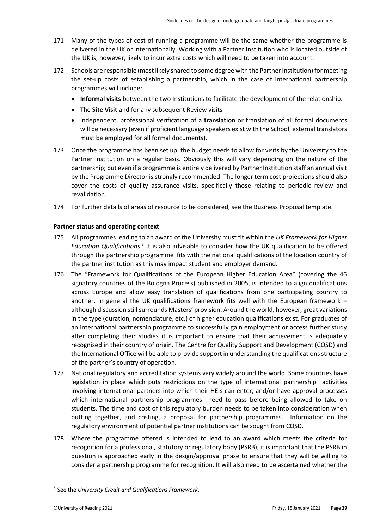- 171. Many of the types of cost of running a programme will be the same whether the programme is delivered in the UK or internationally. Working with a Partner Institution who is located outside of the UK is, however, likely to incur extra costs which will need to be taken into account.
- 172. Schools are responsible (most likely shared to some degree with the Partner Institution) for meeting the set-up costs of establishing a partnership, which in the case of international partnership programmes will include:
	- **Informal visits** between the two Institutions to facilitate the development of the relationship.
	- The **Site Visit** and for any subsequent Review visits
	- Independent, professional verification of a **translation** or translation of all formal documents will be necessary (even if proficient language speakers exist with the School, external translators must be employed for all formal documents).
- 173. Once the programme has been set up, the budget needs to allow for visits by the University to the Partner Institution on a regular basis. Obviously this will vary depending on the nature of the partnership; but even if a programme is entirely delivered by Partner Institution staff an annual visit by the Programme Director is strongly recommended. The longer term cost projections should also cover the costs of quality assurance visits, specifically those relating to periodic review and revalidation.
- <span id="page-28-0"></span>174. For further details of areas of resource to be considered, see the Business Proposal template.

### **Partner status and operating context**

- 175. All programmes leading to an award of the University must fit within the *UK Framework for Higher*  Education Qualifications.<sup>3</sup> It is also advisable to consider how the UK qualification to be offered through the partnership programme fits with the national qualifications of the location country of the partner institution as this may impact student and employer demand.
- 176. The "Framework for Qualifications of the European Higher Education Area" (covering the 46 signatory countries of the Bologna Process) published in 2005, is intended to align qualifications across Europe and allow easy translation of qualifications from one participating country to another. In general the UK qualifications framework fits well with the European framework – although discussion still surrounds Masters' provision. Around the world, however, great variations in the type (duration, nomenclature, etc.) of higher education qualifications exist. For graduates of an international partnership programme to successfully gain employment or access further study after completing their studies it is important to ensure that their achievement is adequately recognised in their country of origin. The Centre for Quality Support and Development (CQSD) and the International Office will be able to provide support in understanding the qualifications structure of the partner's country of operation.
- 177. National regulatory and accreditation systems vary widely around the world. Some countries have legislation in place which puts restrictions on the type of international partnership activities involving international partners into which their HEIs can enter, and/or have approval processes which international partnership programmes need to pass before being allowed to take on students. The time and cost of this regulatory burden needs to be taken into consideration when putting together, and costing, a proposal for partnership programmes. Information on the regulatory environment of potential partner institutions can be sought from CQSD.
- 178. Where the programme offered is intended to lead to an award which meets the criteria for recognition for a professional, statutory or regulatory body (PSRB), it is important that the PSRB in question is approached early in the design/approval phase to ensure that they will be willing to consider a partnership programme for recognition. It will also need to be ascertained whether the

<sup>3</sup> See the *University Credit and Qualifications Framework*.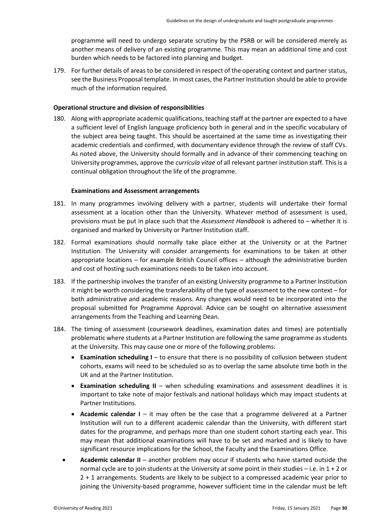programme will need to undergo separate scrutiny by the PSRB or will be considered merely as another means of delivery of an existing programme. This may mean an additional time and cost burden which needs to be factored into planning and budget.

179. For further details of areas to be considered in respect of the operating context and partner status, see the Business Proposal template. In most cases, the Partner Institution should be able to provide much of the information required.

### <span id="page-29-0"></span>**Operational structure and division of responsibilities**

180. Along with appropriate academic qualifications, teaching staff at the partner are expected to a have a sufficient level of English language proficiency both in general and in the specific vocabulary of the subject area being taught. This should be ascertained at the same time as investigating their academic credentials and confirmed, with documentary evidence through the review of staff CVs. As noted above, the University should formally and in advance of their commencing teaching on University programmes, approve the *curricula vitae* of all relevant partner institution staff. This is a continual obligation throughout the life of the programme.

### **Examinations and Assessment arrangements**

- 181. In many programmes involving delivery with a partner, students will undertake their formal assessment at a location other than the University. Whatever method of assessment is used, provisions must be put in place such that the *Assessment Handbook* is adhered to – whether it is organised and marked by University or Partner Institution staff.
- 182. Formal examinations should normally take place either at the University or at the Partner Institution. The University will consider arrangements for examinations to be taken at other appropriate locations – for example British Council offices – although the administrative burden and cost of hosting such examinations needs to be taken into account.
- 183. If the partnership involves the transfer of an existing University programme to a Partner Institution it might be worth considering the transferability of the type of assessment to the new context – for both administrative and academic reasons. Any changes would need to be incorporated into the proposal submitted for Programme Approval. Advice can be sought on alternative assessment arrangements from the Teaching and Learning Dean.
- 184. The timing of assessment (coursework deadlines, examination dates and times) are potentially problematic where students at a Partner Institution are following the same programme as students at the University. This may cause one or more of the following problems:
	- **Examination scheduling I** to ensure that there is no possibility of collusion between student cohorts, exams will need to be scheduled so as to overlap the same absolute time both in the UK and at the Partner Institution.
	- **Examination scheduling II** when scheduling examinations and assessment deadlines it is important to take note of major festivals and national holidays which may impact students at Partner Institutions.
	- **Academic calendar I** it may often be the case that a programme delivered at a Partner Institution will run to a different academic calendar than the University, with different start dates for the programme, and perhaps more than one student cohort starting each year. This may mean that additional examinations will have to be set and marked and is likely to have significant resource implications for the School, the Faculty and the Examinations Office.
	- **Academic calendar II**  another problem may occur if students who have started outside the normal cycle are to join students at the University at some point in their studies – i.e. in 1 + 2 or 2 + 1 arrangements. Students are likely to be subject to a compressed academic year prior to joining the University-based programme, however sufficient time in the calendar must be left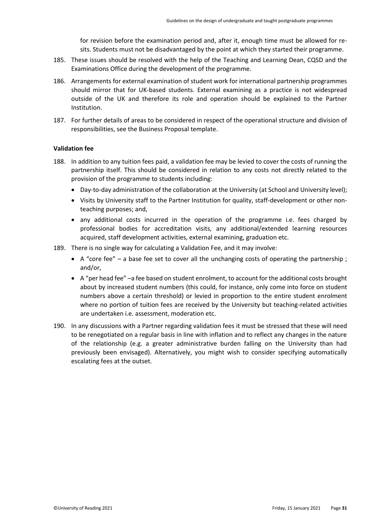for revision before the examination period and, after it, enough time must be allowed for resits. Students must not be disadvantaged by the point at which they started their programme.

- 185. These issues should be resolved with the help of the Teaching and Learning Dean, CQSD and the Examinations Office during the development of the programme.
- 186. Arrangements for external examination of student work for international partnership programmes should mirror that for UK-based students. External examining as a practice is not widespread outside of the UK and therefore its role and operation should be explained to the Partner Institution.
- 187. For further details of areas to be considered in respect of the operational structure and division of responsibilities, see the Business Proposal template.

### <span id="page-30-0"></span>**Validation fee**

- 188. In addition to any tuition fees paid, a validation fee may be levied to cover the costs of running the partnership itself. This should be considered in relation to any costs not directly related to the provision of the programme to students including:
	- Day-to-day administration of the collaboration at the University (at School and University level);
	- Visits by University staff to the Partner Institution for quality, staff-development or other nonteaching purposes; and,
	- any additional costs incurred in the operation of the programme i.e. fees charged by professional bodies for accreditation visits, any additional/extended learning resources acquired, staff development activities, external examining, graduation etc.
- 189. There is no single way for calculating a Validation Fee, and it may involve:
	- A "core fee" a base fee set to cover all the unchanging costs of operating the partnership ; and/or,
	- A "per head fee" –a fee based on student enrolment, to account for the additional costs brought about by increased student numbers (this could, for instance, only come into force on student numbers above a certain threshold) or levied in proportion to the entire student enrolment where no portion of tuition fees are received by the University but teaching-related activities are undertaken i.e. assessment, moderation etc.
- 190. In any discussions with a Partner regarding validation fees it must be stressed that these will need to be renegotiated on a regular basis in line with inflation and to reflect any changes in the nature of the relationship (e.g. a greater administrative burden falling on the University than had previously been envisaged). Alternatively, you might wish to consider specifying automatically escalating fees at the outset.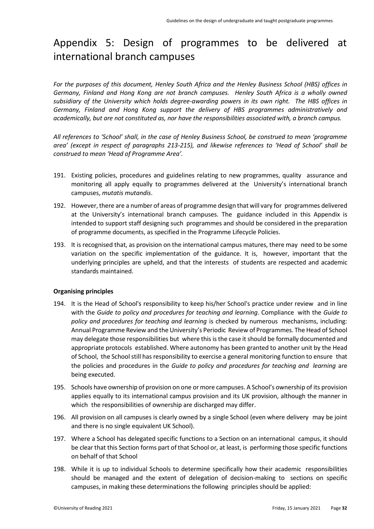# <span id="page-31-0"></span>Appendix 5: Design of programmes to be delivered at international branch campuses

*For the purposes of this document, Henley South Africa and the Henley Business School (HBS) offices in Germany, Finland and Hong Kong are not branch campuses. Henley South Africa is a wholly owned subsidiary of the University which holds degree-awarding powers in its own right. The HBS offices in Germany, Finland and Hong Kong support the delivery of HBS programmes administratively and academically, but are not constituted as, nor have the responsibilities associated with, a branch campus.*

*All references to 'School' shall, in the case of Henley Business School, be construed to mean 'programme area' (except in respect of paragraphs 213-215), and likewise references to 'Head of School' shall be construed to mean 'Head of Programme Area'.* 

- 191. Existing policies, procedures and guidelines relating to new programmes, quality assurance and monitoring all apply equally to programmes delivered at the University's international branch campuses, *mutatis mutandis*.
- 192. However,there are a number of areas of programme design that will vary for programmes delivered at the University's international branch campuses. The guidance included in this Appendix is intended to support staff designing such programmes and should be considered in the preparation of programme documents, as specified in the Programme Lifecycle Policies.
- 193. It is recognised that, as provision on the international campus matures, there may need to be some variation on the specific implementation of the guidance. It is, however, important that the underlying principles are upheld, and that the interests of students are respected and academic standards maintained.

### <span id="page-31-1"></span>**Organising principles**

- 194. It is the Head of School's responsibility to keep his/her School's practice under review and in line with the *Guide to policy and procedures for teaching and learning*. Compliance with the *Guide to policy and procedures for teaching and learning* is checked by numerous mechanisms, including: Annual Programme Review and the University's Periodic Review of Programmes. The Head of School may delegate those responsibilities but where this is the case it should be formally documented and appropriate protocols established. Where autonomy has been granted to another unit by the Head of School, the School still has responsibility to exercise a general monitoring function to ensure that the policies and procedures in the *Guide to policy and procedures for teaching and learning* are being executed.
- 195. Schools have ownership of provision on one ormore campuses. A School's ownership of its provision applies equally to its international campus provision and its UK provision, although the manner in which the responsibilities of ownership are discharged may differ.
- 196. All provision on all campuses is clearly owned by a single School (even where delivery may be joint and there is no single equivalent UK School).
- 197. Where a School has delegated specific functions to a Section on an international campus, it should be clear that this Section forms part of that School or, at least, is performing those specific functions on behalf of that School
- 198. While it is up to individual Schools to determine specifically how their academic responsibilities should be managed and the extent of delegation of decision-making to sections on specific campuses, in making these determinations the following principles should be applied: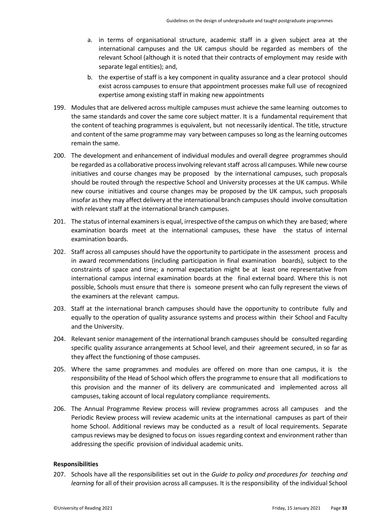- a. in terms of organisational structure, academic staff in a given subject area at the international campuses and the UK campus should be regarded as members of the relevant School (although it is noted that their contracts of employment may reside with separate legal entities); and,
- b. the expertise of staff is a key component in quality assurance and a clear protocol should exist across campuses to ensure that appointment processes make full use of recognized expertise among existing staff in making new appointments
- 199. Modules that are delivered across multiple campuses must achieve the same learning outcomes to the same standards and cover the same core subject matter. It is a fundamental requirement that the content of teaching programmes is equivalent, but not necessarily identical. The title, structure and content of the same programme may vary between campuses so long as the learning outcomes remain the same.
- 200. The development and enhancement of individual modules and overall degree programmes should be regarded as a collaborative process involving relevant staff across all campuses. While new course initiatives and course changes may be proposed by the international campuses, such proposals should be routed through the respective School and University processes at the UK campus. While new course initiatives and course changes may be proposed by the UK campus, such proposals insofar as they may affect delivery at the international branch campusesshould involve consultation with relevant staff at the international branch campuses.
- 201. The status of internal examiners is equal, irrespective of the campus on which they are based; where examination boards meet at the international campuses, these have the status of internal examination boards.
- 202. Staff across all campuses should have the opportunity to participate in the assessment process and in award recommendations (including participation in final examination boards), subject to the constraints of space and time; a normal expectation might be at least one representative from international campus internal examination boards at the final external board. Where this is not possible, Schools must ensure that there is someone present who can fully represent the views of the examiners at the relevant campus.
- 203. Staff at the international branch campuses should have the opportunity to contribute fully and equally to the operation of quality assurance systems and process within their School and Faculty and the University.
- 204. Relevant senior management of the international branch campuses should be consulted regarding specific quality assurance arrangements at School level, and their agreement secured, in so far as they affect the functioning of those campuses.
- 205. Where the same programmes and modules are offered on more than one campus, it is the responsibility of the Head of School which offers the programme to ensure that all modifications to this provision and the manner of its delivery are communicated and implemented across all campuses, taking account of local regulatory compliance requirements.
- 206. The Annual Programme Review process will review programmes across all campuses and the Periodic Review process will review academic units at the international campuses as part of their home School. Additional reviews may be conducted as a result of local requirements. Separate campus reviews may be designed to focus on issues regarding context and environment rather than addressing the specific provision of individual academic units.

### <span id="page-32-0"></span>**Responsibilities**

207. Schools have all the responsibilities set out in the *Guide to policy and procedures for teaching and learning* for all of their provision across all campuses. It is the responsibility of the individual School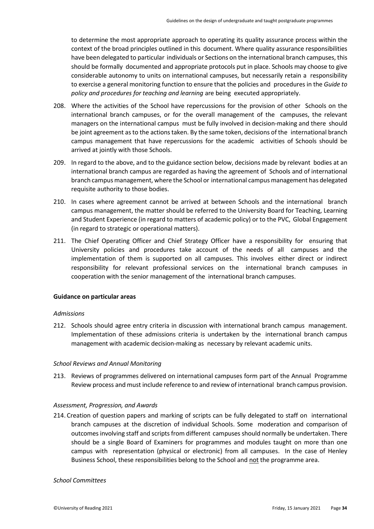to determine the most appropriate approach to operating its quality assurance process within the context of the broad principles outlined in this document. Where quality assurance responsibilities have been delegated to particular individuals or Sections on the international branch campuses, this should be formally documented and appropriate protocols put in place. Schools may choose to give considerable autonomy to units on international campuses, but necessarily retain a responsibility to exercise a general monitoring function to ensure that the policies and procedures in the *Guide to policy and procedures for teaching and learning* are being executed appropriately.

- 208. Where the activities of the School have repercussions for the provision of other Schools on the international branch campuses, or for the overall management of the campuses, the relevant managers on the international campus must be fully involved in decision-making and there should be joint agreement as to the actions taken. By the same token, decisions of the international branch campus management that have repercussions for the academic activities of Schools should be arrived at jointly with those Schools.
- 209. In regard to the above, and to the guidance section below, decisions made by relevant bodies at an international branch campus are regarded as having the agreement of Schools and of international branch campus management, where the School or international campus management has delegated requisite authority to those bodies.
- 210. In cases where agreement cannot be arrived at between Schools and the international branch campus management, the matter should be referred to the University Board for Teaching, Learning and Student Experience (in regard to matters of academic policy) or to the PVC, Global Engagement (in regard to strategic or operational matters).
- 211. The Chief Operating Officer and Chief Strategy Officer have a responsibility for ensuring that University policies and procedures take account of the needs of all campuses and the implementation of them is supported on all campuses. This involves either direct or indirect responsibility for relevant professional services on the international branch campuses in cooperation with the senior management of the international branch campuses.

### <span id="page-33-0"></span>**Guidance on particular areas**

### *Admissions*

212. Schools should agree entry criteria in discussion with international branch campus management. Implementation of these admissions criteria is undertaken by the international branch campus management with academic decision-making as necessary by relevant academic units.

### *School Reviews and Annual Monitoring*

213. Reviews of programmes delivered on international campuses form part of the Annual Programme Review process and must include reference to and review of international branch campus provision.

### *Assessment, Progression, and Awards*

214. Creation of question papers and marking of scripts can be fully delegated to staff on international branch campuses at the discretion of individual Schools. Some moderation and comparison of outcomesinvolving staff and scripts from different campuses should normally be undertaken. There should be a single Board of Examiners for programmes and modules taught on more than one campus with representation (physical or electronic) from all campuses. In the case of Henley Business School, these responsibilities belong to the School and not the programme area.

### *School Committees*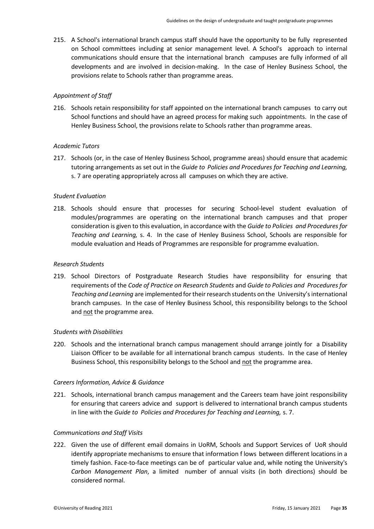215. A School's international branch campus staff should have the opportunity to be fully represented on School committees including at senior management level. A School's approach to internal communications should ensure that the international branch campuses are fully informed of all developments and are involved in decision-making. In the case of Henley Business School, the provisions relate to Schools rather than programme areas.

### *Appointment of Staff*

216. Schools retain responsibility for staff appointed on the international branch campuses to carry out School functions and should have an agreed process for making such appointments. In the case of Henley Business School, the provisions relate to Schools rather than programme areas.

### *Academic Tutors*

217. Schools (or, in the case of Henley Business School, programme areas) should ensure that academic tutoring arrangements as set out in the *Guide to Policies and Procedures for Teaching and Learning,*  s. 7 are operating appropriately across all campuses on which they are active.

### *Student Evaluation*

218. Schools should ensure that processes for securing School-level student evaluation of modules/programmes are operating on the international branch campuses and that proper consideration is given to this evaluation, in accordance with the *Guide to Policies and Proceduresfor Teaching and Learning,* s. 4. In the case of Henley Business School, Schools are responsible for module evaluation and Heads of Programmes are responsible for programme evaluation.

### *Research Students*

219. School Directors of Postgraduate Research Studies have responsibility for ensuring that requirements of the *Code of Practice on Research Students* and *Guide to Policies and Procedures for Teaching and Learning* are implemented for their research students on the University's international branch campuses. In the case of Henley Business School, this responsibility belongs to the School and not the programme area.

### *Students with Disabilities*

220. Schools and the international branch campus management should arrange jointly for a Disability Liaison Officer to be available for all international branch campus students. In the case of Henley Business School, this responsibility belongs to the School and not the programme area.

### *Careers Information, Advice & Guidance*

221. Schools, international branch campus management and the Careers team have joint responsibility for ensuring that careers advice and support is delivered to international branch campus students in line with the *Guide to Policies and Procedures for Teaching and Learning,* s. 7.

### *Communications and Staff Visits*

222. Given the use of different email domains in UoRM, Schools and Support Services of UoR should identify appropriate mechanisms to ensure that information f lows between different locations in a timely fashion. Face-to-face meetings can be of particular value and, while noting the University's *Carbon Management Plan*, a limited number of annual visits (in both directions) should be considered normal.